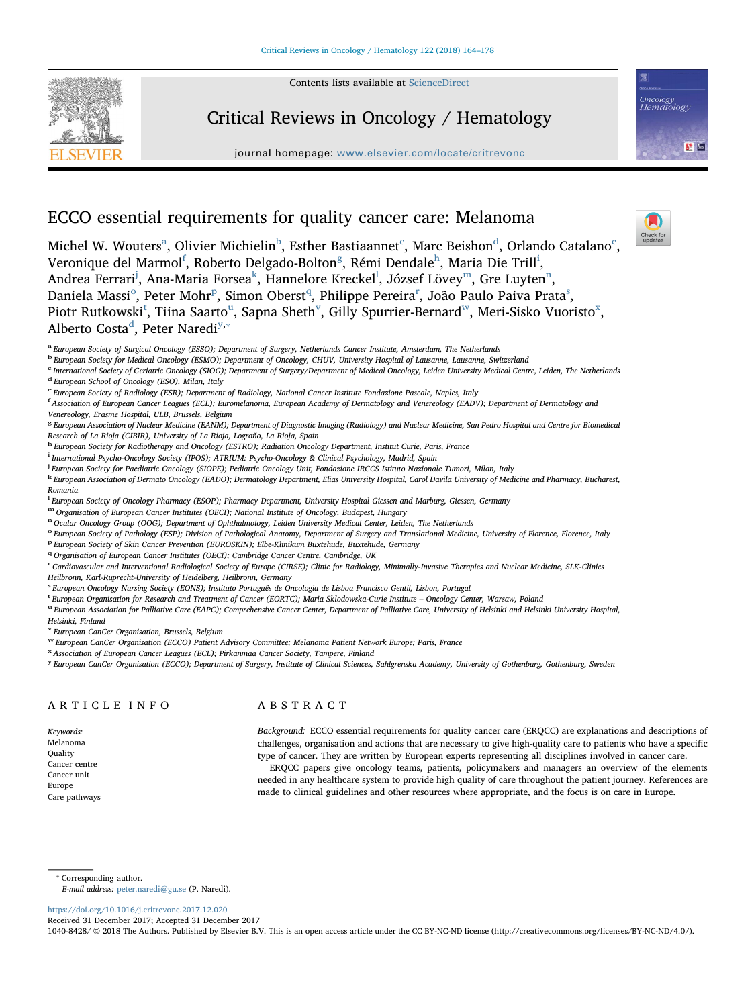Contents lists available at [ScienceDirect](http://www.sciencedirect.com/science/journal/10408428)



# Critical Reviews in Oncology / Hematology

journal homepage: [www.elsevier.com/locate/critrevonc](https://www.elsevier.com/locate/critrevonc)



# ECCO essential requirements for quality cancer care: Melanoma

Mi[c](#page-0-2)h[e](#page-0-4)l W. Wouters $^{\rm a}$  $^{\rm a}$  $^{\rm a}$ , Olivier Michielin $^{\rm b}$  $^{\rm b}$  $^{\rm b}$ , Esther Bastiaannet $^{\rm c}$ , Marc Beishon $^{\rm d}$  $^{\rm d}$  $^{\rm d}$ , Orlando Catalano $^{\rm e}$ , Veronique del Marmol<sup>[f](#page-0-5)</sup>, Roberto Del[g](#page-0-6)ado-Bolton<sup>g</sup>, Rémi Dendale<sup>[h](#page-0-7)</sup>, Mar[i](#page-0-8)a Die Trill<sup>i</sup>, Andrea Ferrari<sup>[j](#page-0-9)</sup>, Ana-Maria Forsea $^{\rm k}$  $^{\rm k}$  $^{\rm k}$ , Hanne[l](#page-0-11)ore Kreckel $^{\rm l}$ , József Lövey $^{\rm m}$ , Gre Luyten $^{\rm n}$ , Daniela Massi<sup>[o](#page-0-14)</su[p](#page-0-15)>, Peter Mohr<sup>p</sup>, Simon Oberst<sup>[q](#page-0-16)</sup>, Philippe Pe[r](#page-0-17)eira<[s](#page-0-18)up>r</sup>, João Paulo Paiva Prata<sup>s</sup>, Pio[t](#page-0-19)r R[u](#page-0-20)tko[w](#page-0-22)ski $^{\rm t}$ , Tiina Saarto $^{\rm u}$ , Sapna Sheth $^{\rm v}$  $^{\rm v}$  $^{\rm v}$ , Gilly Spurrier-Bernard $^{\rm w}$ , Meri-Sisko Vuoristo $^{\rm x}$ , Alberto Costa<sup>[d](#page-0-3)</sup>, Peter Naredi<sup>y,\*</sup>

- <span id="page-0-0"></span>a European Society of Surgical Oncology (ESSO); Department of Surgery, Netherlands Cancer Institute, Amsterdam, The Netherlands
- <span id="page-0-1"></span><sup>b</sup> European Society for Medical Oncology (ESMO); Department of Oncology, CHUV, University Hospital of Lausanne, Lausanne, Switzerland

<span id="page-0-3"></span><span id="page-0-2"></span>c International Society of Geriatric Oncology (SIOG); Department of Surgery/Department of Medical Oncology, Leiden University Medical Centre, Leiden, The Netherlands <sup>d</sup> European School of Oncology (ESO), Milan, Italy

- <span id="page-0-4"></span><sup>e</sup> European Society of Radiology (ESR); Department of Radiology, National Cancer Institute Fondazione Pascale, Naples, Italy
- <span id="page-0-5"></span>f Association of European Cancer Leagues (ECL); Euromelanoma, European Academy of Dermatology and Venereology (EADV); Department of Dermatology and
- Venereology, Erasme Hospital, ULB, Brussels, Belgium

<span id="page-0-6"></span><sup>8</sup> European Association of Nuclear Medicine (EANM); Department of Diagnostic Imaging (Radiology) and Nuclear Medicine, San Pedro Hospital and Centre for Biomedical Research of La Rioja (CIBIR), University of La Rioja, Logroño, La Rioja, Spain

- <span id="page-0-7"></span>h European Society for Radiotherapy and Oncology (ESTRO); Radiation Oncology Department, Institut Curie, Paris, France
- <span id="page-0-8"></span><sup>i</sup> International Psycho-Oncology Society (IPOS); ATRIUM: Psycho-Oncology & Clinical Psychology, Madrid, Spain
- <span id="page-0-9"></span>j European Society for Paediatric Oncology (SIOPE); Pediatric Oncology Unit, Fondazione IRCCS Istituto Nazionale Tumori, Milan, Italy
- <span id="page-0-10"></span>k European Association of Dermato Oncology (EADO); Dermatology Department, Elias University Hospital, Carol Davila University of Medicine and Pharmacy, Bucharest, Romania
- <span id="page-0-11"></span><sup>1</sup> European Society of Oncology Pharmacy (ESOP); Pharmacy Department, University Hospital Giessen and Marburg, Giessen, Germany
- <span id="page-0-13"></span>
- <span id="page-0-12"></span><sup>m</sup> Organisation of European Cancer Institutes (OECI); National Institute of Oncology, Budapest, Hungary<br><sup>n</sup> Ocular Oncology Group (OOG); Department of Ophthalmology, Leiden University Medical Center, Leiden, The Netherlan
- <span id="page-0-14"></span><sup>o</sup> European Society of Pathology (ESP); Division of Pathological Anatomy, Department of Surgery and Translational Medicine, University of Florence, Florence, Italy
- <span id="page-0-15"></span><sup>p</sup> European Society of Skin Cancer Prevention (EUROSKIN); Elbe-Klinikum Buxtehude, Buxtehude, Germany
- <span id="page-0-16"></span><sup>q</sup> Organisation of European Cancer Institutes (OECI); Cambridge Cancer Centre, Cambridge, UK

<span id="page-0-17"></span>r Cardiovascular and Interventional Radiological Society of Europe (CIRSE); Clinic for Radiology, Minimally-Invasive Therapies and Nuclear Medicine, SLK-Clinics Heilbronn, Karl-Ruprecht-University of Heidelberg, Heilbronn, Germany

- <span id="page-0-18"></span>s European Oncology Nursing Society (EONS); Instituto Português de Oncologia de Lisboa Francisco Gentil, Lisbon, Portugal
- <span id="page-0-19"></span><sup>t</sup> European Organisation for Research and Treatment of Cancer (EORTC); Maria Sklodowska-Curie Institute - Oncology Center, Warsaw, Poland

<span id="page-0-20"></span>u European Association for Palliative Care (EAPC); Comprehensive Cancer Center, Department of Palliative Care, University of Helsinki and Helsinki University Hospital, Helsinki, Finland

<span id="page-0-21"></span><sup>v</sup> European CanCer Organisation, Brussels, Belgium

<span id="page-0-22"></span>w European CanCer Organisation (ECCO) Patient Advisory Committee; Melanoma Patient Network Europe; Paris, France<br>x Association of European Cancer Leagues (ECL); Pirkanmaa Cancer Society, Tampere, Finland

<span id="page-0-24"></span><span id="page-0-23"></span>

y European CanCer Organisation (ECCO); Department of Surgery, Institute of Clinical Sciences, Sahlgrenska Academy, University of Gothenburg, Gothenburg, Sweden

# ARTICLE INFO

Keywords: Melanoma **Ouality** Cancer centre Cancer unit Europe Care pathways

# ABSTRACT

Background: ECCO essential requirements for quality cancer care (ERQCC) are explanations and descriptions of challenges, organisation and actions that are necessary to give high-quality care to patients who have a specific type of cancer. They are written by European experts representing all disciplines involved in cancer care.

ERQCC papers give oncology teams, patients, policymakers and managers an overview of the elements needed in any healthcare system to provide high quality of care throughout the patient journey. References are made to clinical guidelines and other resources where appropriate, and the focus is on care in Europe.

<span id="page-0-25"></span>⁎ Corresponding author.

E-mail address: [peter.naredi@gu.se](mailto:peter.naredi@gu.se) (P. Naredi).

<https://doi.org/10.1016/j.critrevonc.2017.12.020>

Received 31 December 2017; Accepted 31 December 2017

1040-8428/ © 2018 The Authors. Published by Elsevier B.V. This is an open access article under the CC BY-NC-ND license (http://creativecommons.org/licenses/BY-NC-ND/4.0/).

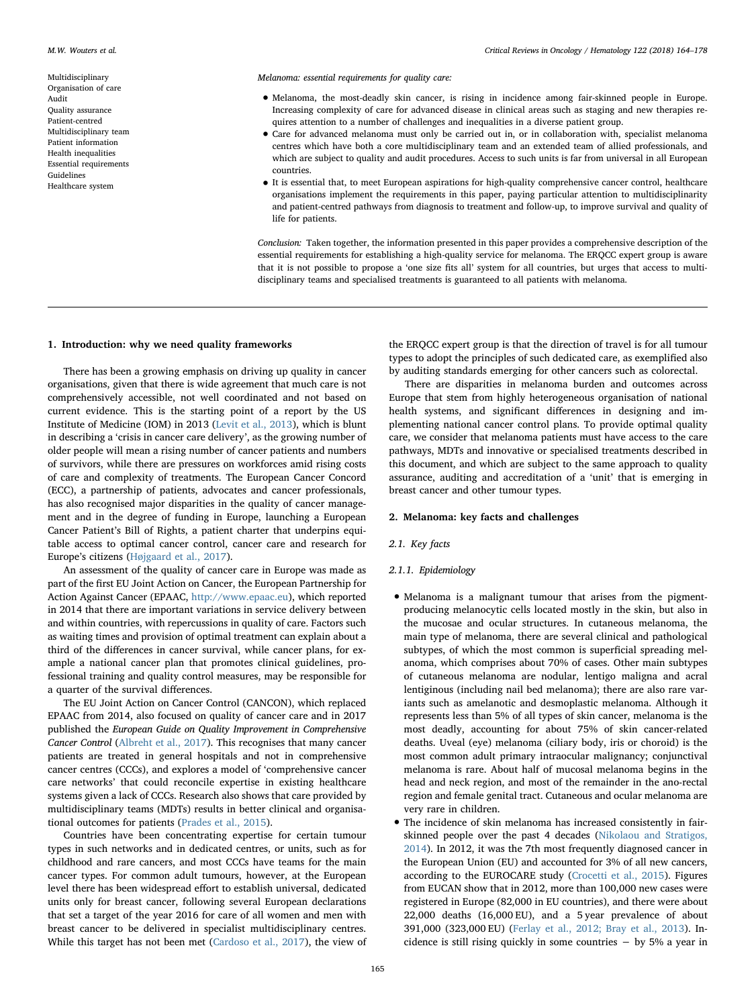Multidisciplinary Organisation of care Audit Quality assurance Patient-centred Multidisciplinary team Patient information Health inequalities Essential requirements Guidelines Healthcare system

Melanoma: essential requirements for quality care:

- Melanoma, the most-deadly skin cancer, is rising in incidence among fair-skinned people in Europe. Increasing complexity of care for advanced disease in clinical areas such as staging and new therapies requires attention to a number of challenges and inequalities in a diverse patient group.
- Care for advanced melanoma must only be carried out in, or in collaboration with, specialist melanoma centres which have both a core multidisciplinary team and an extended team of allied professionals, and which are subject to quality and audit procedures. Access to such units is far from universal in all European countries.
- It is essential that, to meet European aspirations for high-quality comprehensive cancer control, healthcare organisations implement the requirements in this paper, paying particular attention to multidisciplinarity and patient-centred pathways from diagnosis to treatment and follow-up, to improve survival and quality of life for patients.

Conclusion: Taken together, the information presented in this paper provides a comprehensive description of the essential requirements for establishing a high-quality service for melanoma. The ERQCC expert group is aware that it is not possible to propose a 'one size fits all' system for all countries, but urges that access to multidisciplinary teams and specialised treatments is guaranteed to all patients with melanoma.

#### 1. Introduction: why we need quality frameworks

There has been a growing emphasis on driving up quality in cancer organisations, given that there is wide agreement that much care is not comprehensively accessible, not well coordinated and not based on current evidence. This is the starting point of a report by the US Institute of Medicine (IOM) in 2013 [\(Levit et al., 2013](#page-13-0)), which is blunt in describing a 'crisis in cancer care delivery', as the growing number of older people will mean a rising number of cancer patients and numbers of survivors, while there are pressures on workforces amid rising costs of care and complexity of treatments. The European Cancer Concord (ECC), a partnership of patients, advocates and cancer professionals, has also recognised major disparities in the quality of cancer management and in the degree of funding in Europe, launching a European Cancer Patient's Bill of Rights, a patient charter that underpins equitable access to optimal cancer control, cancer care and research for Europe's citizens ([Højgaard et al., 2017](#page-13-1)).

An assessment of the quality of cancer care in Europe was made as part of the first EU Joint Action on Cancer, the European Partnership for Action Against Cancer (EPAAC, <http://www.epaac.eu>), which reported in 2014 that there are important variations in service delivery between and within countries, with repercussions in quality of care. Factors such as waiting times and provision of optimal treatment can explain about a third of the differences in cancer survival, while cancer plans, for example a national cancer plan that promotes clinical guidelines, professional training and quality control measures, may be responsible for a quarter of the survival differences.

The EU Joint Action on Cancer Control (CANCON), which replaced EPAAC from 2014, also focused on quality of cancer care and in 2017 published the European Guide on Quality Improvement in Comprehensive Cancer Control ([Albreht et al., 2017\)](#page-12-0). This recognises that many cancer patients are treated in general hospitals and not in comprehensive cancer centres (CCCs), and explores a model of 'comprehensive cancer care networks' that could reconcile expertise in existing healthcare systems given a lack of CCCs. Research also shows that care provided by multidisciplinary teams (MDTs) results in better clinical and organisational outcomes for patients [\(Prades et al., 2015\)](#page-14-0).

Countries have been concentrating expertise for certain tumour types in such networks and in dedicated centres, or units, such as for childhood and rare cancers, and most CCCs have teams for the main cancer types. For common adult tumours, however, at the European level there has been widespread effort to establish universal, dedicated units only for breast cancer, following several European declarations that set a target of the year 2016 for care of all women and men with breast cancer to be delivered in specialist multidisciplinary centres. While this target has not been met ([Cardoso et al., 2017](#page-12-1)), the view of the ERQCC expert group is that the direction of travel is for all tumour types to adopt the principles of such dedicated care, as exemplified also by auditing standards emerging for other cancers such as colorectal.

There are disparities in melanoma burden and outcomes across Europe that stem from highly heterogeneous organisation of national health systems, and significant differences in designing and implementing national cancer control plans. To provide optimal quality care, we consider that melanoma patients must have access to the care pathways, MDTs and innovative or specialised treatments described in this document, and which are subject to the same approach to quality assurance, auditing and accreditation of a 'unit' that is emerging in breast cancer and other tumour types.

## 2. Melanoma: key facts and challenges

## 2.1. Key facts

# 2.1.1. Epidemiology

- Melanoma is a malignant tumour that arises from the pigmentproducing melanocytic cells located mostly in the skin, but also in the mucosae and ocular structures. In cutaneous melanoma, the main type of melanoma, there are several clinical and pathological subtypes, of which the most common is superficial spreading melanoma, which comprises about 70% of cases. Other main subtypes of cutaneous melanoma are nodular, lentigo maligna and acral lentiginous (including nail bed melanoma); there are also rare variants such as amelanotic and desmoplastic melanoma. Although it represents less than 5% of all types of skin cancer, melanoma is the most deadly, accounting for about 75% of skin cancer-related deaths. Uveal (eye) melanoma (ciliary body, iris or choroid) is the most common adult primary intraocular malignancy; conjunctival melanoma is rare. About half of mucosal melanoma begins in the head and neck region, and most of the remainder in the ano-rectal region and female genital tract. Cutaneous and ocular melanoma are very rare in children.
- The incidence of skin melanoma has increased consistently in fairskinned people over the past 4 decades ([Nikolaou and Stratigos,](#page-14-1) [2014](#page-14-1)). In 2012, it was the 7th most frequently diagnosed cancer in the European Union (EU) and accounted for 3% of all new cancers, according to the EUROCARE study ([Crocetti et al., 2015\)](#page-12-2). Figures from EUCAN show that in 2012, more than 100,000 new cases were registered in Europe (82,000 in EU countries), and there were about 22,000 deaths (16,000 EU), and a 5 year prevalence of about 391,000 (323,000 EU) [\(Ferlay et al., 2012; Bray et al., 2013](#page-13-2)). Incidence is still rising quickly in some countries − by 5% a year in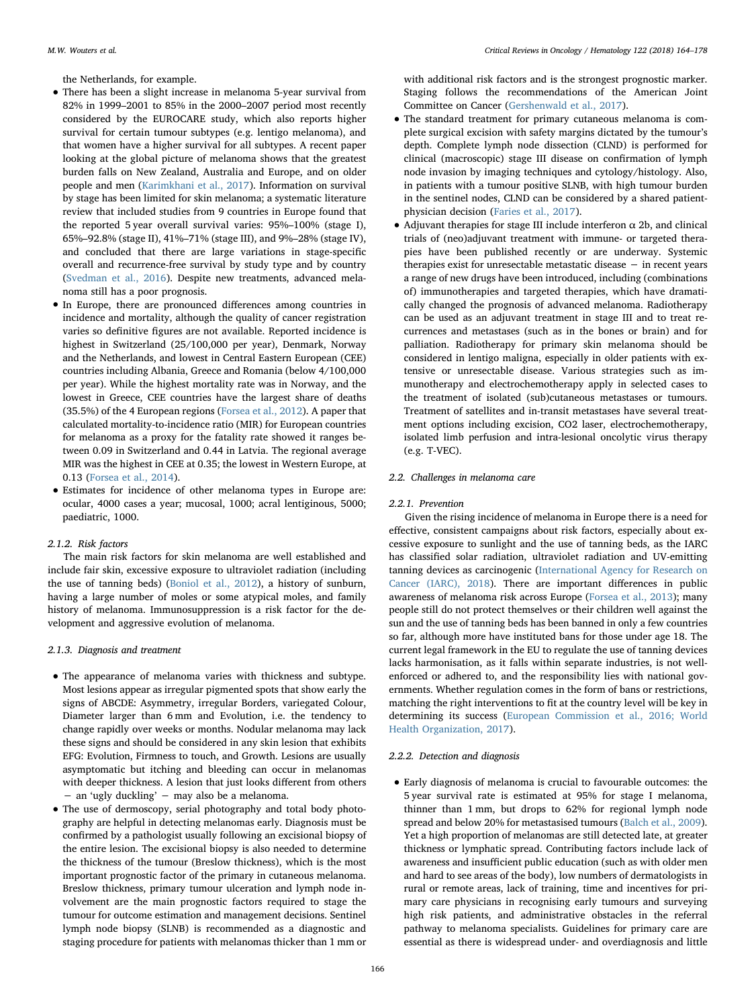the Netherlands, for example.

- There has been a slight increase in melanoma 5-year survival from 82% in 1999–2001 to 85% in the 2000–2007 period most recently considered by the EUROCARE study, which also reports higher survival for certain tumour subtypes (e.g. lentigo melanoma), and that women have a higher survival for all subtypes. A recent paper looking at the global picture of melanoma shows that the greatest burden falls on New Zealand, Australia and Europe, and on older people and men ([Karimkhani et al., 2017\)](#page-13-3). Information on survival by stage has been limited for skin melanoma; a systematic literature review that included studies from 9 countries in Europe found that the reported 5 year overall survival varies: 95%–100% (stage I), 65%–92.8% (stage II), 41%–71% (stage III), and 9%–28% (stage IV), and concluded that there are large variations in stage-specific overall and recurrence-free survival by study type and by country [\(Svedman et al., 2016](#page-14-2)). Despite new treatments, advanced melanoma still has a poor prognosis.
- In Europe, there are pronounced differences among countries in incidence and mortality, although the quality of cancer registration varies so definitive figures are not available. Reported incidence is highest in Switzerland (25/100,000 per year), Denmark, Norway and the Netherlands, and lowest in Central Eastern European (CEE) countries including Albania, Greece and Romania (below 4/100,000 per year). While the highest mortality rate was in Norway, and the lowest in Greece, CEE countries have the largest share of deaths (35.5%) of the 4 European regions [\(Forsea et al., 2012](#page-13-4)). A paper that calculated mortality-to-incidence ratio (MIR) for European countries for melanoma as a proxy for the fatality rate showed it ranges between 0.09 in Switzerland and 0.44 in Latvia. The regional average MIR was the highest in CEE at 0.35; the lowest in Western Europe, at 0.13 ([Forsea et al., 2014](#page-13-5)).
- Estimates for incidence of other melanoma types in Europe are: ocular, 4000 cases a year; mucosal, 1000; acral lentiginous, 5000; paediatric, 1000.

## 2.1.2. Risk factors

The main risk factors for skin melanoma are well established and include fair skin, excessive exposure to ultraviolet radiation (including the use of tanning beds) ([Boniol et al., 2012\)](#page-12-3), a history of sunburn, having a large number of moles or some atypical moles, and family history of melanoma. Immunosuppression is a risk factor for the development and aggressive evolution of melanoma.

#### 2.1.3. Diagnosis and treatment

- The appearance of melanoma varies with thickness and subtype. Most lesions appear as irregular pigmented spots that show early the signs of ABCDE: Asymmetry, irregular Borders, variegated Colour, Diameter larger than 6 mm and Evolution, i.e. the tendency to change rapidly over weeks or months. Nodular melanoma may lack these signs and should be considered in any skin lesion that exhibits EFG: Evolution, Firmness to touch, and Growth. Lesions are usually asymptomatic but itching and bleeding can occur in melanomas with deeper thickness. A lesion that just looks different from others − an 'ugly duckling' − may also be a melanoma.
- The use of dermoscopy, serial photography and total body photography are helpful in detecting melanomas early. Diagnosis must be confirmed by a pathologist usually following an excisional biopsy of the entire lesion. The excisional biopsy is also needed to determine the thickness of the tumour (Breslow thickness), which is the most important prognostic factor of the primary in cutaneous melanoma. Breslow thickness, primary tumour ulceration and lymph node involvement are the main prognostic factors required to stage the tumour for outcome estimation and management decisions. Sentinel lymph node biopsy (SLNB) is recommended as a diagnostic and staging procedure for patients with melanomas thicker than 1 mm or

with additional risk factors and is the strongest prognostic marker. Staging follows the recommendations of the American Joint Committee on Cancer [\(Gershenwald et al., 2017](#page-13-6)).

- The standard treatment for primary cutaneous melanoma is complete surgical excision with safety margins dictated by the tumour's depth. Complete lymph node dissection (CLND) is performed for clinical (macroscopic) stage III disease on confirmation of lymph node invasion by imaging techniques and cytology/histology. Also, in patients with a tumour positive SLNB, with high tumour burden in the sentinel nodes, CLND can be considered by a shared patientphysician decision [\(Faries et al., 2017\)](#page-13-7).
- Adjuvant therapies for stage III include interferon  $\alpha$  2b, and clinical trials of (neo)adjuvant treatment with immune- or targeted therapies have been published recently or are underway. Systemic therapies exist for unresectable metastatic disease − in recent years a range of new drugs have been introduced, including (combinations of) immunotherapies and targeted therapies, which have dramatically changed the prognosis of advanced melanoma. Radiotherapy can be used as an adjuvant treatment in stage III and to treat recurrences and metastases (such as in the bones or brain) and for palliation. Radiotherapy for primary skin melanoma should be considered in lentigo maligna, especially in older patients with extensive or unresectable disease. Various strategies such as immunotherapy and electrochemotherapy apply in selected cases to the treatment of isolated (sub)cutaneous metastases or tumours. Treatment of satellites and in-transit metastases have several treatment options including excision, CO2 laser, electrochemotherapy, isolated limb perfusion and intra-lesional oncolytic virus therapy (e.g. T-VEC).

# 2.2. Challenges in melanoma care

#### 2.2.1. Prevention

Given the rising incidence of melanoma in Europe there is a need for effective, consistent campaigns about risk factors, especially about excessive exposure to sunlight and the use of tanning beds, as the IARC has classified solar radiation, ultraviolet radiation and UV-emitting tanning devices as carcinogenic ([International Agency for Research on](#page-13-8) [Cancer \(IARC\), 2018](#page-13-8)). There are important differences in public awareness of melanoma risk across Europe [\(Forsea et al., 2013](#page-13-9)); many people still do not protect themselves or their children well against the sun and the use of tanning beds has been banned in only a few countries so far, although more have instituted bans for those under age 18. The current legal framework in the EU to regulate the use of tanning devices lacks harmonisation, as it falls within separate industries, is not wellenforced or adhered to, and the responsibility lies with national governments. Whether regulation comes in the form of bans or restrictions, matching the right interventions to fit at the country level will be key in determining its success ([European Commission et al., 2016; World](#page-13-10) [Health Organization, 2017](#page-13-10)).

## 2.2.2. Detection and diagnosis

• Early diagnosis of melanoma is crucial to favourable outcomes: the 5 year survival rate is estimated at 95% for stage I melanoma, thinner than 1 mm, but drops to 62% for regional lymph node spread and below 20% for metastasised tumours ([Balch et al., 2009](#page-12-4)). Yet a high proportion of melanomas are still detected late, at greater thickness or lymphatic spread. Contributing factors include lack of awareness and insufficient public education (such as with older men and hard to see areas of the body), low numbers of dermatologists in rural or remote areas, lack of training, time and incentives for primary care physicians in recognising early tumours and surveying high risk patients, and administrative obstacles in the referral pathway to melanoma specialists. Guidelines for primary care are essential as there is widespread under- and overdiagnosis and little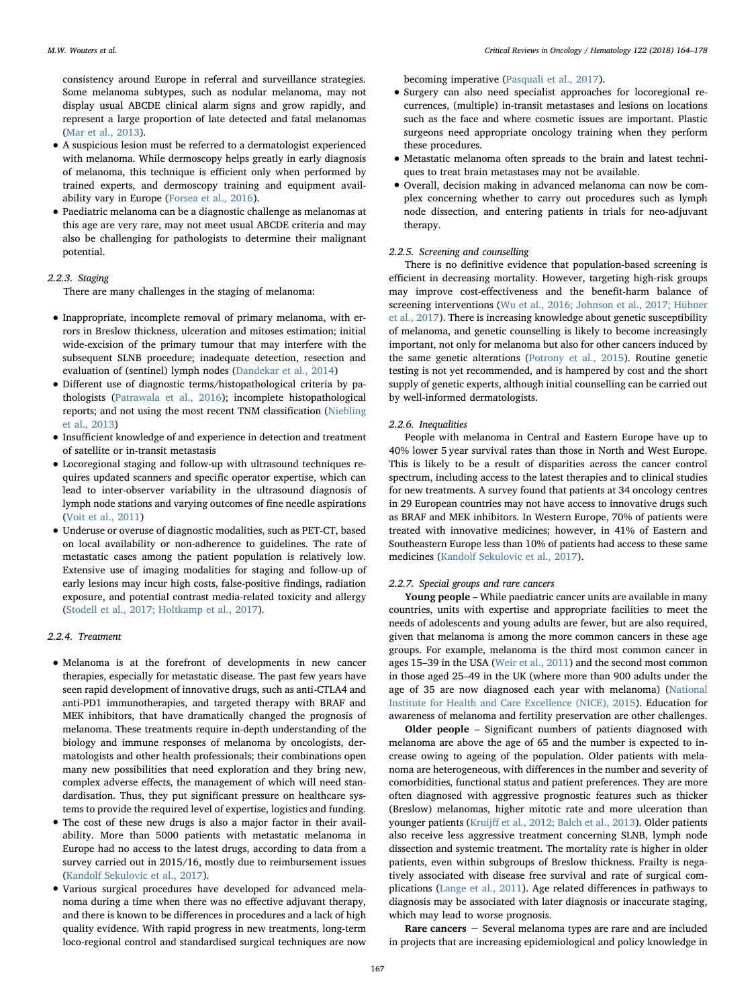consistency around Europe in referral and surveillance strategies. Some melanoma subtypes, such as nodular melanoma, may not display usual ABCDE clinical alarm signs and grow rapidly, and represent a large proportion of late detected and fatal melanomas [\(Mar et al., 2013\)](#page-13-11).

- A suspicious lesion must be referred to a dermatologist experienced with melanoma. While dermoscopy helps greatly in early diagnosis of melanoma, this technique is efficient only when performed by trained experts, and dermoscopy training and equipment availability vary in Europe [\(Forsea et al., 2016\)](#page-13-12).
- Paediatric melanoma can be a diagnostic challenge as melanomas at this age are very rare, may not meet usual ABCDE criteria and may also be challenging for pathologists to determine their malignant potential.

## 2.2.3. Staging

There are many challenges in the staging of melanoma:

- Inappropriate, incomplete removal of primary melanoma, with errors in Breslow thickness, ulceration and mitoses estimation; initial wide-excision of the primary tumour that may interfere with the subsequent SLNB procedure; inadequate detection, resection and evaluation of (sentinel) lymph nodes [\(Dandekar et al., 2014](#page-12-5))
- Different use of diagnostic terms/histopathological criteria by pathologists ([Patrawala et al., 2016\)](#page-14-3); incomplete histopathological reports; and not using the most recent TNM classification ([Niebling](#page-14-4) [et al., 2013](#page-14-4))
- Insufficient knowledge of and experience in detection and treatment of satellite or in-transit metastasis
- Locoregional staging and follow-up with ultrasound techniques requires updated scanners and specific operator expertise, which can lead to inter-observer variability in the ultrasound diagnosis of lymph node stations and varying outcomes of fine needle aspirations [\(Voit et al., 2011\)](#page-14-5)
- Underuse or overuse of diagnostic modalities, such as PET-CT, based on local availability or non-adherence to guidelines. The rate of metastatic cases among the patient population is relatively low. Extensive use of imaging modalities for staging and follow-up of early lesions may incur high costs, false-positive findings, radiation exposure, and potential contrast media-related toxicity and allergy [\(Stodell et al., 2017; Holtkamp et al., 2017](#page-14-6)).

#### 2.2.4. Treatment

- Melanoma is at the forefront of developments in new cancer therapies, especially for metastatic disease. The past few years have seen rapid development of innovative drugs, such as anti-CTLA4 and anti-PD1 immunotherapies, and targeted therapy with BRAF and MEK inhibitors, that have dramatically changed the prognosis of melanoma. These treatments require in-depth understanding of the biology and immune responses of melanoma by oncologists, dermatologists and other health professionals; their combinations open many new possibilities that need exploration and they bring new, complex adverse effects, the management of which will need standardisation. Thus, they put significant pressure on healthcare systems to provide the required level of expertise, logistics and funding.
- The cost of these new drugs is also a major factor in their availability. More than 5000 patients with metastatic melanoma in Europe had no access to the latest drugs, according to data from a survey carried out in 2015/16, mostly due to reimbursement issues [\(Kandolf Sekulovic et al., 2017\)](#page-13-13).
- Various surgical procedures have developed for advanced melanoma during a time when there was no effective adjuvant therapy, and there is known to be differences in procedures and a lack of high quality evidence. With rapid progress in new treatments, long-term loco-regional control and standardised surgical techniques are now

becoming imperative ([Pasquali et al., 2017\)](#page-14-7).

- Surgery can also need specialist approaches for locoregional recurrences, (multiple) in-transit metastases and lesions on locations such as the face and where cosmetic issues are important. Plastic surgeons need appropriate oncology training when they perform these procedures.
- Metastatic melanoma often spreads to the brain and latest techniques to treat brain metastases may not be available.
- Overall, decision making in advanced melanoma can now be complex concerning whether to carry out procedures such as lymph node dissection, and entering patients in trials for neo-adjuvant therapy.

## 2.2.5. Screening and counselling

There is no definitive evidence that population-based screening is efficient in decreasing mortality. However, targeting high-risk groups may improve cost-effectiveness and the benefit-harm balance of screening interventions ([Wu et al., 2016; Johnson et al., 2017; Hübner](#page-14-8) [et al., 2017](#page-14-8)). There is increasing knowledge about genetic susceptibility of melanoma, and genetic counselling is likely to become increasingly important, not only for melanoma but also for other cancers induced by the same genetic alterations ([Potrony et al., 2015\)](#page-14-9). Routine genetic testing is not yet recommended, and is hampered by cost and the short supply of genetic experts, although initial counselling can be carried out by well-informed dermatologists.

#### 2.2.6. Inequalities

People with melanoma in Central and Eastern Europe have up to 40% lower 5 year survival rates than those in North and West Europe. This is likely to be a result of disparities across the cancer control spectrum, including access to the latest therapies and to clinical studies for new treatments. A survey found that patients at 34 oncology centres in 29 European countries may not have access to innovative drugs such as BRAF and MEK inhibitors. In Western Europe, 70% of patients were treated with innovative medicines; however, in 41% of Eastern and Southeastern Europe less than 10% of patients had access to these same medicines ([Kandolf Sekulovic et al., 2017](#page-13-13)).

## 2.2.7. Special groups and rare cancers

Young people – While paediatric cancer units are available in many countries, units with expertise and appropriate facilities to meet the needs of adolescents and young adults are fewer, but are also required, given that melanoma is among the more common cancers in these age groups. For example, melanoma is the third most common cancer in ages 15–39 in the USA [\(Weir et al., 2011\)](#page-14-10) and the second most common in those aged 25–49 in the UK (where more than 900 adults under the age of 35 are now diagnosed each year with melanoma) [\(National](#page-14-11) [Institute for Health and Care Excellence \(NICE\), 2015\)](#page-14-11). Education for awareness of melanoma and fertility preservation are other challenges.

Older people – Significant numbers of patients diagnosed with melanoma are above the age of 65 and the number is expected to increase owing to ageing of the population. Older patients with melanoma are heterogeneous, with differences in the number and severity of comorbidities, functional status and patient preferences. They are more often diagnosed with aggressive prognostic features such as thicker (Breslow) melanomas, higher mitotic rate and more ulceration than younger patients (Kruijff [et al., 2012; Balch et al., 2013\)](#page-13-14). Older patients also receive less aggressive treatment concerning SLNB, lymph node dissection and systemic treatment. The mortality rate is higher in older patients, even within subgroups of Breslow thickness. Frailty is negatively associated with disease free survival and rate of surgical complications ([Lange et al., 2011](#page-13-15)). Age related differences in pathways to diagnosis may be associated with later diagnosis or inaccurate staging, which may lead to worse prognosis.

Rare cancers − Several melanoma types are rare and are included in projects that are increasing epidemiological and policy knowledge in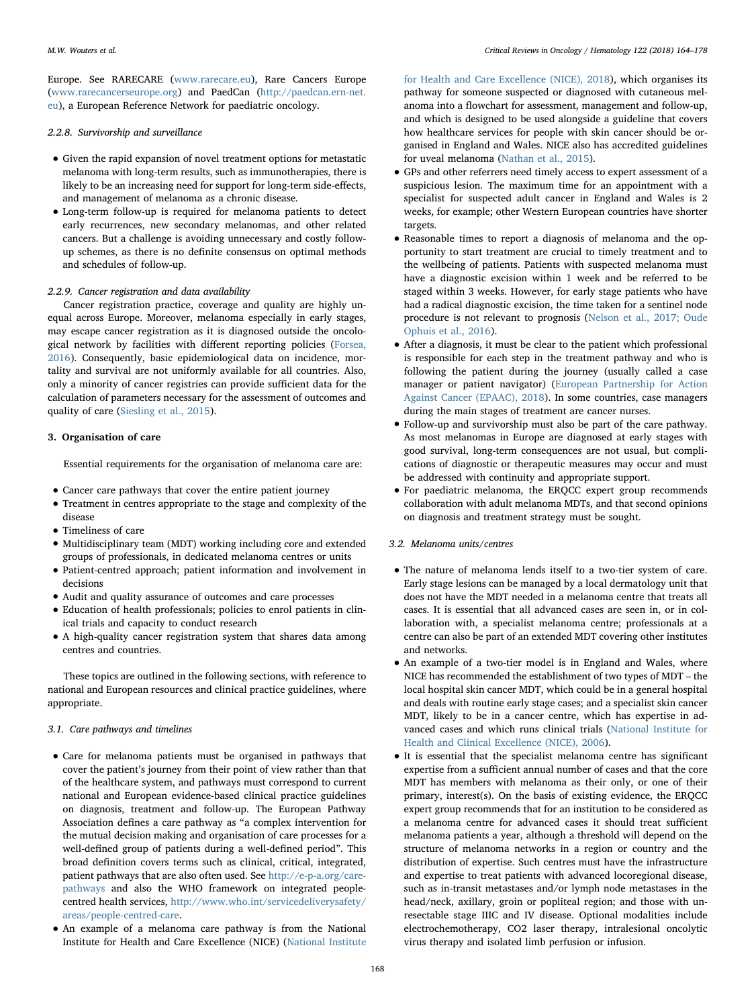Europe. See RARECARE [\(www.rarecare.eu\)](http://www.rarecare.eu), Rare Cancers Europe ([www.rarecancerseurope.org](http://www.rarecancerseurope.org)) and PaedCan [\(http://paedcan.ern-net.](http://paedcan.ern-net.eu) [eu](http://paedcan.ern-net.eu)), a European Reference Network for paediatric oncology.

# 2.2.8. Survivorship and surveillance

- Given the rapid expansion of novel treatment options for metastatic melanoma with long-term results, such as immunotherapies, there is likely to be an increasing need for support for long-term side-effects, and management of melanoma as a chronic disease.
- Long-term follow-up is required for melanoma patients to detect early recurrences, new secondary melanomas, and other related cancers. But a challenge is avoiding unnecessary and costly followup schemes, as there is no definite consensus on optimal methods and schedules of follow-up.

## 2.2.9. Cancer registration and data availability

Cancer registration practice, coverage and quality are highly unequal across Europe. Moreover, melanoma especially in early stages, may escape cancer registration as it is diagnosed outside the oncological network by facilities with different reporting policies ([Forsea,](#page-13-16) [2016\)](#page-13-16). Consequently, basic epidemiological data on incidence, mortality and survival are not uniformly available for all countries. Also, only a minority of cancer registries can provide sufficient data for the calculation of parameters necessary for the assessment of outcomes and quality of care ([Siesling et al., 2015\)](#page-14-12).

## 3. Organisation of care

Essential requirements for the organisation of melanoma care are:

- Cancer care pathways that cover the entire patient journey
- Treatment in centres appropriate to the stage and complexity of the disease
- Timeliness of care
- Multidisciplinary team (MDT) working including core and extended groups of professionals, in dedicated melanoma centres or units
- Patient-centred approach; patient information and involvement in decisions
- Audit and quality assurance of outcomes and care processes
- Education of health professionals; policies to enrol patients in clinical trials and capacity to conduct research
- A high-quality cancer registration system that shares data among centres and countries.

These topics are outlined in the following sections, with reference to national and European resources and clinical practice guidelines, where appropriate.

## 3.1. Care pathways and timelines

- Care for melanoma patients must be organised in pathways that cover the patient's journey from their point of view rather than that of the healthcare system, and pathways must correspond to current national and European evidence-based clinical practice guidelines on diagnosis, treatment and follow-up. The European Pathway Association defines a care pathway as "a complex intervention for the mutual decision making and organisation of care processes for a well-defined group of patients during a well-defined period". This broad definition covers terms such as clinical, critical, integrated, patient pathways that are also often used. See [http://e-p-a.org/care](http://e-p-a.org/care-pathways)[pathways](http://e-p-a.org/care-pathways) and also the WHO framework on integrated peoplecentred health services, [http://www.who.int/servicedeliverysafety/](http://www.who.int/servicedeliverysafety/areas/people-centred-care) [areas/people-centred-care](http://www.who.int/servicedeliverysafety/areas/people-centred-care).
- An example of a melanoma care pathway is from the National Institute for Health and Care Excellence (NICE) [\(National Institute](#page-13-17)

[for Health and Care Excellence \(NICE\), 2018\)](#page-13-17), which organises its pathway for someone suspected or diagnosed with cutaneous melanoma into a flowchart for assessment, management and follow-up, and which is designed to be used alongside a guideline that covers how healthcare services for people with skin cancer should be organised in England and Wales. NICE also has accredited guidelines for uveal melanoma [\(Nathan et al., 2015](#page-13-18)).

- GPs and other referrers need timely access to expert assessment of a suspicious lesion. The maximum time for an appointment with a specialist for suspected adult cancer in England and Wales is 2 weeks, for example; other Western European countries have shorter targets.
- Reasonable times to report a diagnosis of melanoma and the opportunity to start treatment are crucial to timely treatment and to the wellbeing of patients. Patients with suspected melanoma must have a diagnostic excision within 1 week and be referred to be staged within 3 weeks. However, for early stage patients who have had a radical diagnostic excision, the time taken for a sentinel node procedure is not relevant to prognosis ([Nelson et al., 2017; Oude](#page-14-13) [Ophuis et al., 2016\)](#page-14-13).
- After a diagnosis, it must be clear to the patient which professional is responsible for each step in the treatment pathway and who is following the patient during the journey (usually called a case manager or patient navigator) ([European Partnership for Action](#page-12-6) [Against Cancer \(EPAAC\), 2018](#page-12-6)). In some countries, case managers during the main stages of treatment are cancer nurses.
- Follow-up and survivorship must also be part of the care pathway. As most melanomas in Europe are diagnosed at early stages with good survival, long-term consequences are not usual, but complications of diagnostic or therapeutic measures may occur and must be addressed with continuity and appropriate support.
- For paediatric melanoma, the ERQCC expert group recommends collaboration with adult melanoma MDTs, and that second opinions on diagnosis and treatment strategy must be sought.

## 3.2. Melanoma units/centres

- The nature of melanoma lends itself to a two-tier system of care. Early stage lesions can be managed by a local dermatology unit that does not have the MDT needed in a melanoma centre that treats all cases. It is essential that all advanced cases are seen in, or in collaboration with, a specialist melanoma centre; professionals at a centre can also be part of an extended MDT covering other institutes and networks.
- An example of a two-tier model is in England and Wales, where NICE has recommended the establishment of two types of MDT – the local hospital skin cancer MDT, which could be in a general hospital and deals with routine early stage cases; and a specialist skin cancer MDT, likely to be in a cancer centre, which has expertise in advanced cases and which runs clinical trials [\(National Institute for](#page-13-19) [Health and Clinical Excellence \(NICE\), 2006](#page-13-19)).
- It is essential that the specialist melanoma centre has significant expertise from a sufficient annual number of cases and that the core MDT has members with melanoma as their only, or one of their primary, interest(s). On the basis of existing evidence, the ERQCC expert group recommends that for an institution to be considered as a melanoma centre for advanced cases it should treat sufficient melanoma patients a year, although a threshold will depend on the structure of melanoma networks in a region or country and the distribution of expertise. Such centres must have the infrastructure and expertise to treat patients with advanced locoregional disease, such as in-transit metastases and/or lymph node metastases in the head/neck, axillary, groin or popliteal region; and those with unresectable stage IIIC and IV disease. Optional modalities include electrochemotherapy, CO2 laser therapy, intralesional oncolytic virus therapy and isolated limb perfusion or infusion.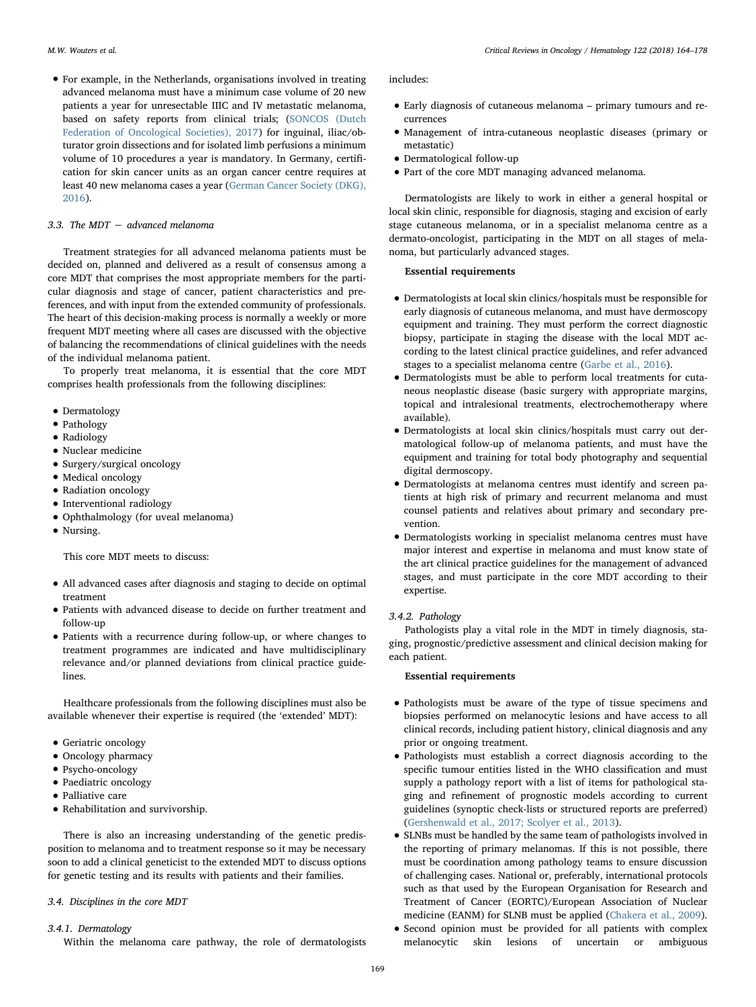• For example, in the Netherlands, organisations involved in treating advanced melanoma must have a minimum case volume of 20 new patients a year for unresectable IIIC and IV metastatic melanoma, based on safety reports from clinical trials; [\(SONCOS \(Dutch](#page-14-14) [Federation of Oncological Societies\), 2017\)](#page-14-14) for inguinal, iliac/obturator groin dissections and for isolated limb perfusions a minimum volume of 10 procedures a year is mandatory. In Germany, certification for skin cancer units as an organ cancer centre requires at least 40 new melanoma cases a year ([German Cancer Society \(DKG\),](#page-13-20) [2016](#page-13-20)).

## 3.3. The MDT – advanced melanoma

Treatment strategies for all advanced melanoma patients must be decided on, planned and delivered as a result of consensus among a core MDT that comprises the most appropriate members for the particular diagnosis and stage of cancer, patient characteristics and preferences, and with input from the extended community of professionals. The heart of this decision-making process is normally a weekly or more frequent MDT meeting where all cases are discussed with the objective of balancing the recommendations of clinical guidelines with the needs of the individual melanoma patient.

To properly treat melanoma, it is essential that the core MDT comprises health professionals from the following disciplines:

- Dermatology
- Pathology
- Radiology
- Nuclear medicine
- Surgery/surgical oncology
- Medical oncology
- Radiation oncology
- Interventional radiology
- Ophthalmology (for uveal melanoma)
- Nursing.

This core MDT meets to discuss:

- All advanced cases after diagnosis and staging to decide on optimal treatment
- Patients with advanced disease to decide on further treatment and follow-up
- Patients with a recurrence during follow-up, or where changes to treatment programmes are indicated and have multidisciplinary relevance and/or planned deviations from clinical practice guidelines.

Healthcare professionals from the following disciplines must also be available whenever their expertise is required (the 'extended' MDT):

- Geriatric oncology
- Oncology pharmacy
- Psycho-oncology
- Paediatric oncology
- Palliative care
- Rehabilitation and survivorship.

There is also an increasing understanding of the genetic predisposition to melanoma and to treatment response so it may be necessary soon to add a clinical geneticist to the extended MDT to discuss options for genetic testing and its results with patients and their families.

## 3.4. Disciplines in the core MDT

## 3.4.1. Dermatology

Within the melanoma care pathway, the role of dermatologists

includes:

- Early diagnosis of cutaneous melanoma primary tumours and recurrences
- Management of intra-cutaneous neoplastic diseases (primary or metastatic)
- Dermatological follow-up
- Part of the core MDT managing advanced melanoma.

Dermatologists are likely to work in either a general hospital or local skin clinic, responsible for diagnosis, staging and excision of early stage cutaneous melanoma, or in a specialist melanoma centre as a dermato-oncologist, participating in the MDT on all stages of melanoma, but particularly advanced stages.

## Essential requirements

- Dermatologists at local skin clinics/hospitals must be responsible for early diagnosis of cutaneous melanoma, and must have dermoscopy equipment and training. They must perform the correct diagnostic biopsy, participate in staging the disease with the local MDT according to the latest clinical practice guidelines, and refer advanced stages to a specialist melanoma centre ([Garbe et al., 2016](#page-13-21)).
- Dermatologists must be able to perform local treatments for cutaneous neoplastic disease (basic surgery with appropriate margins, topical and intralesional treatments, electrochemotherapy where available).
- Dermatologists at local skin clinics/hospitals must carry out dermatological follow-up of melanoma patients, and must have the equipment and training for total body photography and sequential digital dermoscopy.
- Dermatologists at melanoma centres must identify and screen patients at high risk of primary and recurrent melanoma and must counsel patients and relatives about primary and secondary prevention.
- Dermatologists working in specialist melanoma centres must have major interest and expertise in melanoma and must know state of the art clinical practice guidelines for the management of advanced stages, and must participate in the core MDT according to their expertise.

#### 3.4.2. Pathology

Pathologists play a vital role in the MDT in timely diagnosis, staging, prognostic/predictive assessment and clinical decision making for each patient.

## Essential requirements

- Pathologists must be aware of the type of tissue specimens and biopsies performed on melanocytic lesions and have access to all clinical records, including patient history, clinical diagnosis and any prior or ongoing treatment.
- Pathologists must establish a correct diagnosis according to the specific tumour entities listed in the WHO classification and must supply a pathology report with a list of items for pathological staging and refinement of prognostic models according to current guidelines (synoptic check-lists or structured reports are preferred) [\(Gershenwald et al., 2017; Scolyer et al., 2013\)](#page-13-6).
- SLNBs must be handled by the same team of pathologists involved in the reporting of primary melanomas. If this is not possible, there must be coordination among pathology teams to ensure discussion of challenging cases. National or, preferably, international protocols such as that used by the European Organisation for Research and Treatment of Cancer (EORTC)/European Association of Nuclear medicine (EANM) for SLNB must be applied [\(Chakera et al., 2009](#page-12-7)).
- Second opinion must be provided for all patients with complex melanocytic skin lesions of uncertain or ambiguous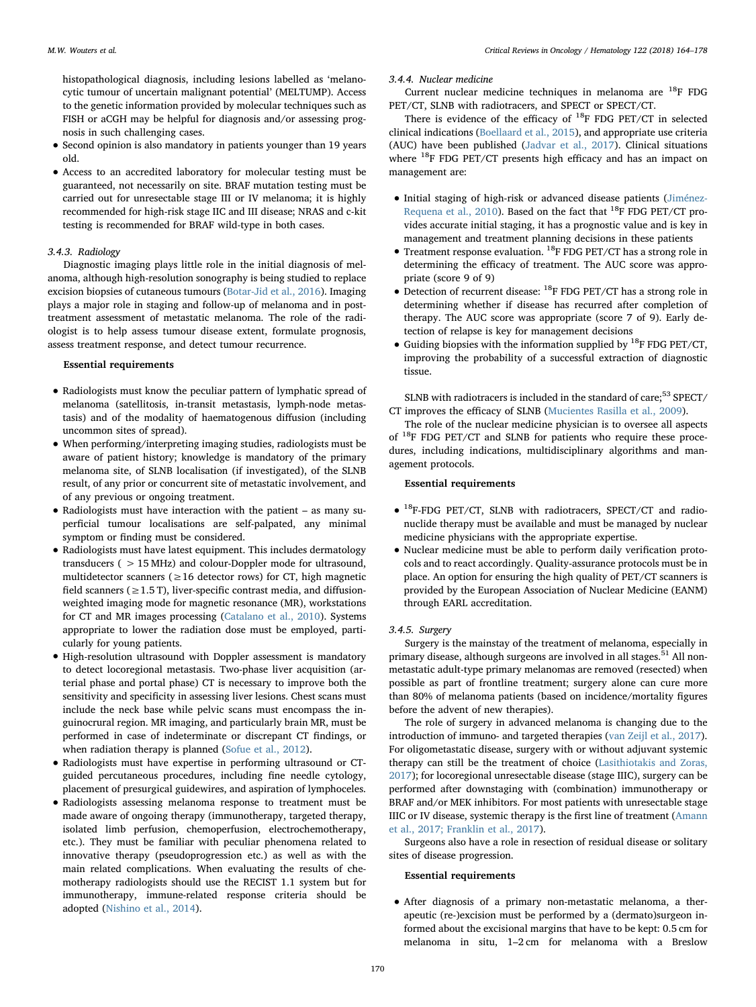M.W. Wouters et al. *Critical Reviews in Oncology / Hematology 122 (2018) 164–178*

histopathological diagnosis, including lesions labelled as 'melanocytic tumour of uncertain malignant potential' (MELTUMP). Access to the genetic information provided by molecular techniques such as FISH or aCGH may be helpful for diagnosis and/or assessing prognosis in such challenging cases.

- Second opinion is also mandatory in patients younger than 19 years old.
- Access to an accredited laboratory for molecular testing must be guaranteed, not necessarily on site. BRAF mutation testing must be carried out for unresectable stage III or IV melanoma; it is highly recommended for high-risk stage IIC and III disease; NRAS and c-kit testing is recommended for BRAF wild-type in both cases.

## 3.4.3. Radiology

Diagnostic imaging plays little role in the initial diagnosis of melanoma, although high-resolution sonography is being studied to replace excision biopsies of cutaneous tumours ([Botar-Jid et al., 2016\)](#page-12-8). Imaging plays a major role in staging and follow-up of melanoma and in posttreatment assessment of metastatic melanoma. The role of the radiologist is to help assess tumour disease extent, formulate prognosis, assess treatment response, and detect tumour recurrence.

## Essential requirements

- Radiologists must know the peculiar pattern of lymphatic spread of melanoma (satellitosis, in-transit metastasis, lymph-node metastasis) and of the modality of haematogenous diffusion (including uncommon sites of spread).
- When performing/interpreting imaging studies, radiologists must be aware of patient history; knowledge is mandatory of the primary melanoma site, of SLNB localisation (if investigated), of the SLNB result, of any prior or concurrent site of metastatic involvement, and of any previous or ongoing treatment.
- Radiologists must have interaction with the patient as many superficial tumour localisations are self-palpated, any minimal symptom or finding must be considered.
- Radiologists must have latest equipment. This includes dermatology transducers ( > 15 MHz) and colour-Doppler mode for ultrasound, multidetector scanners ( $\geq$ 16 detector rows) for CT, high magnetic field scanners ( $\geq$  1.5 T), liver-specific contrast media, and diffusionweighted imaging mode for magnetic resonance (MR), workstations for CT and MR images processing ([Catalano et al., 2010](#page-12-9)). Systems appropriate to lower the radiation dose must be employed, particularly for young patients.
- High-resolution ultrasound with Doppler assessment is mandatory to detect locoregional metastasis. Two-phase liver acquisition (arterial phase and portal phase) CT is necessary to improve both the sensitivity and specificity in assessing liver lesions. Chest scans must include the neck base while pelvic scans must encompass the inguinocrural region. MR imaging, and particularly brain MR, must be performed in case of indeterminate or discrepant CT findings, or when radiation therapy is planned ([Sofue et al., 2012\)](#page-14-15).
- Radiologists must have expertise in performing ultrasound or CTguided percutaneous procedures, including fine needle cytology, placement of presurgical guidewires, and aspiration of lymphoceles.
- Radiologists assessing melanoma response to treatment must be made aware of ongoing therapy (immunotherapy, targeted therapy, isolated limb perfusion, chemoperfusion, electrochemotherapy, etc.). They must be familiar with peculiar phenomena related to innovative therapy (pseudoprogression etc.) as well as with the main related complications. When evaluating the results of chemotherapy radiologists should use the RECIST 1.1 system but for immunotherapy, immune-related response criteria should be adopted ([Nishino et al., 2014](#page-14-16)).

### 3.4.4. Nuclear medicine

Current nuclear medicine techniques in melanoma are 18F FDG PET/CT, SLNB with radiotracers, and SPECT or SPECT/CT.

There is evidence of the efficacy of <sup>18</sup>F FDG PET/CT in selected clinical indications [\(Boellaard et al., 2015](#page-12-10)), and appropriate use criteria (AUC) have been published [\(Jadvar et al., 2017](#page-13-22)). Clinical situations where <sup>18</sup>F FDG PET/CT presents high efficacy and has an impact on management are:

- Initial staging of high-risk or advanced disease patients [\(Jiménez-](#page-13-23)[Requena et al., 2010](#page-13-23)). Based on the fact that  $^{18}$ F FDG PET/CT provides accurate initial staging, it has a prognostic value and is key in management and treatment planning decisions in these patients
- Treatment response evaluation.  $^{18}$ F FDG PET/CT has a strong role in determining the efficacy of treatment. The AUC score was appropriate (score 9 of 9)
- Detection of recurrent disease:  $^{18}$ F FDG PET/CT has a strong role in determining whether if disease has recurred after completion of therapy. The AUC score was appropriate (score 7 of 9). Early detection of relapse is key for management decisions
- Guiding biopsies with the information supplied by  $^{18}$ F FDG PET/CT, improving the probability of a successful extraction of diagnostic tissue.

SLNB with radiotracers is included in the standard of care;  $53$  SPECT/  $\,$ CT improves the efficacy of SLNB ([Mucientes Rasilla et al., 2009\)](#page-13-24).

The role of the nuclear medicine physician is to oversee all aspects of 18F FDG PET/CT and SLNB for patients who require these procedures, including indications, multidisciplinary algorithms and management protocols.

## Essential requirements

- 18F-FDG PET/CT, SLNB with radiotracers, SPECT/CT and radionuclide therapy must be available and must be managed by nuclear medicine physicians with the appropriate expertise.
- Nuclear medicine must be able to perform daily verification protocols and to react accordingly. Quality-assurance protocols must be in place. An option for ensuring the high quality of PET/CT scanners is provided by the European Association of Nuclear Medicine (EANM) through EARL accreditation.

# 3.4.5. Surgery

Surgery is the mainstay of the treatment of melanoma, especially in primary disease, although surgeons are involved in all stages.  $\rm ^{51}$  All nonmetastatic adult-type primary melanomas are removed (resected) when possible as part of frontline treatment; surgery alone can cure more than 80% of melanoma patients (based on incidence/mortality figures before the advent of new therapies).

The role of surgery in advanced melanoma is changing due to the introduction of immuno- and targeted therapies ([van Zeijl et al., 2017](#page-14-17)). For oligometastatic disease, surgery with or without adjuvant systemic therapy can still be the treatment of choice ([Lasithiotakis and Zoras,](#page-13-25) [2017\)](#page-13-25); for locoregional unresectable disease (stage IIIC), surgery can be performed after downstaging with (combination) immunotherapy or BRAF and/or MEK inhibitors. For most patients with unresectable stage IIIC or IV disease, systemic therapy is the first line of treatment [\(Amann](#page-12-11) [et al., 2017; Franklin et al., 2017](#page-12-11)).

Surgeons also have a role in resection of residual disease or solitary sites of disease progression.

## Essential requirements

• After diagnosis of a primary non-metastatic melanoma, a therapeutic (re-)excision must be performed by a (dermato)surgeon informed about the excisional margins that have to be kept: 0.5 cm for melanoma in situ, 1–2 cm for melanoma with a Breslow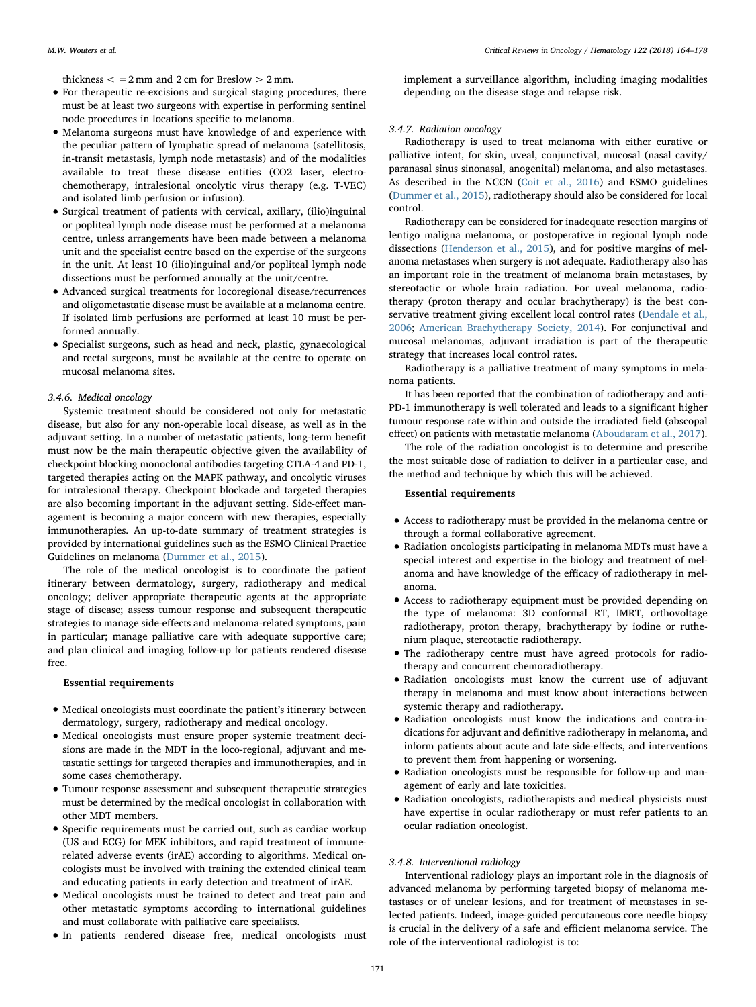thickness  $<$  = 2 mm and 2 cm for Breslow  $>$  2 mm.

- For therapeutic re-excisions and surgical staging procedures, there must be at least two surgeons with expertise in performing sentinel node procedures in locations specific to melanoma.
- Melanoma surgeons must have knowledge of and experience with the peculiar pattern of lymphatic spread of melanoma (satellitosis, in-transit metastasis, lymph node metastasis) and of the modalities available to treat these disease entities (CO2 laser, electrochemotherapy, intralesional oncolytic virus therapy (e.g. T-VEC) and isolated limb perfusion or infusion).
- Surgical treatment of patients with cervical, axillary, (ilio)inguinal or popliteal lymph node disease must be performed at a melanoma centre, unless arrangements have been made between a melanoma unit and the specialist centre based on the expertise of the surgeons in the unit. At least 10 (ilio)inguinal and/or popliteal lymph node dissections must be performed annually at the unit/centre.
- Advanced surgical treatments for locoregional disease/recurrences and oligometastatic disease must be available at a melanoma centre. If isolated limb perfusions are performed at least 10 must be performed annually.
- Specialist surgeons, such as head and neck, plastic, gynaecological and rectal surgeons, must be available at the centre to operate on mucosal melanoma sites.

## 3.4.6. Medical oncology

Systemic treatment should be considered not only for metastatic disease, but also for any non-operable local disease, as well as in the adjuvant setting. In a number of metastatic patients, long-term benefit must now be the main therapeutic objective given the availability of checkpoint blocking monoclonal antibodies targeting CTLA-4 and PD-1, targeted therapies acting on the MAPK pathway, and oncolytic viruses for intralesional therapy. Checkpoint blockade and targeted therapies are also becoming important in the adjuvant setting. Side-effect management is becoming a major concern with new therapies, especially immunotherapies. An up-to-date summary of treatment strategies is provided by international guidelines such as the ESMO Clinical Practice Guidelines on melanoma [\(Dummer et al., 2015\)](#page-12-12).

The role of the medical oncologist is to coordinate the patient itinerary between dermatology, surgery, radiotherapy and medical oncology; deliver appropriate therapeutic agents at the appropriate stage of disease; assess tumour response and subsequent therapeutic strategies to manage side-effects and melanoma-related symptoms, pain in particular; manage palliative care with adequate supportive care; and plan clinical and imaging follow-up for patients rendered disease free.

## Essential requirements

- Medical oncologists must coordinate the patient's itinerary between dermatology, surgery, radiotherapy and medical oncology.
- Medical oncologists must ensure proper systemic treatment decisions are made in the MDT in the loco-regional, adjuvant and metastatic settings for targeted therapies and immunotherapies, and in some cases chemotherapy.
- Tumour response assessment and subsequent therapeutic strategies must be determined by the medical oncologist in collaboration with other MDT members.
- Specific requirements must be carried out, such as cardiac workup (US and ECG) for MEK inhibitors, and rapid treatment of immunerelated adverse events (irAE) according to algorithms. Medical oncologists must be involved with training the extended clinical team and educating patients in early detection and treatment of irAE.
- Medical oncologists must be trained to detect and treat pain and other metastatic symptoms according to international guidelines and must collaborate with palliative care specialists.
- In patients rendered disease free, medical oncologists must

implement a surveillance algorithm, including imaging modalities depending on the disease stage and relapse risk.

# 3.4.7. Radiation oncology

Radiotherapy is used to treat melanoma with either curative or palliative intent, for skin, uveal, conjunctival, mucosal (nasal cavity/ paranasal sinus sinonasal, anogenital) melanoma, and also metastases. As described in the NCCN ([Coit et al., 2016](#page-12-13)) and ESMO guidelines ([Dummer et al., 2015\)](#page-12-12), radiotherapy should also be considered for local control.

Radiotherapy can be considered for inadequate resection margins of lentigo maligna melanoma, or postoperative in regional lymph node dissections ([Henderson et al., 2015\)](#page-13-26), and for positive margins of melanoma metastases when surgery is not adequate. Radiotherapy also has an important role in the treatment of melanoma brain metastases, by stereotactic or whole brain radiation. For uveal melanoma, radiotherapy (proton therapy and ocular brachytherapy) is the best conservative treatment giving excellent local control rates [\(Dendale et al.,](#page-12-14) [2006;](#page-12-14) [American Brachytherapy Society, 2014\)](#page-12-15). For conjunctival and mucosal melanomas, adjuvant irradiation is part of the therapeutic strategy that increases local control rates.

Radiotherapy is a palliative treatment of many symptoms in melanoma patients.

It has been reported that the combination of radiotherapy and anti-PD-1 immunotherapy is well tolerated and leads to a significant higher tumour response rate within and outside the irradiated field (abscopal effect) on patients with metastatic melanoma ([Aboudaram et al., 2017](#page-12-16)).

The role of the radiation oncologist is to determine and prescribe the most suitable dose of radiation to deliver in a particular case, and the method and technique by which this will be achieved.

## Essential requirements

- Access to radiotherapy must be provided in the melanoma centre or through a formal collaborative agreement.
- Radiation oncologists participating in melanoma MDTs must have a special interest and expertise in the biology and treatment of melanoma and have knowledge of the efficacy of radiotherapy in melanoma.
- Access to radiotherapy equipment must be provided depending on the type of melanoma: 3D conformal RT, IMRT, orthovoltage radiotherapy, proton therapy, brachytherapy by iodine or ruthenium plaque, stereotactic radiotherapy.
- The radiotherapy centre must have agreed protocols for radiotherapy and concurrent chemoradiotherapy.
- Radiation oncologists must know the current use of adjuvant therapy in melanoma and must know about interactions between systemic therapy and radiotherapy.
- Radiation oncologists must know the indications and contra-indications for adjuvant and definitive radiotherapy in melanoma, and inform patients about acute and late side-effects, and interventions to prevent them from happening or worsening.
- Radiation oncologists must be responsible for follow-up and management of early and late toxicities.
- Radiation oncologists, radiotherapists and medical physicists must have expertise in ocular radiotherapy or must refer patients to an ocular radiation oncologist.

## 3.4.8. Interventional radiology

Interventional radiology plays an important role in the diagnosis of advanced melanoma by performing targeted biopsy of melanoma metastases or of unclear lesions, and for treatment of metastases in selected patients. Indeed, image-guided percutaneous core needle biopsy is crucial in the delivery of a safe and efficient melanoma service. The role of the interventional radiologist is to: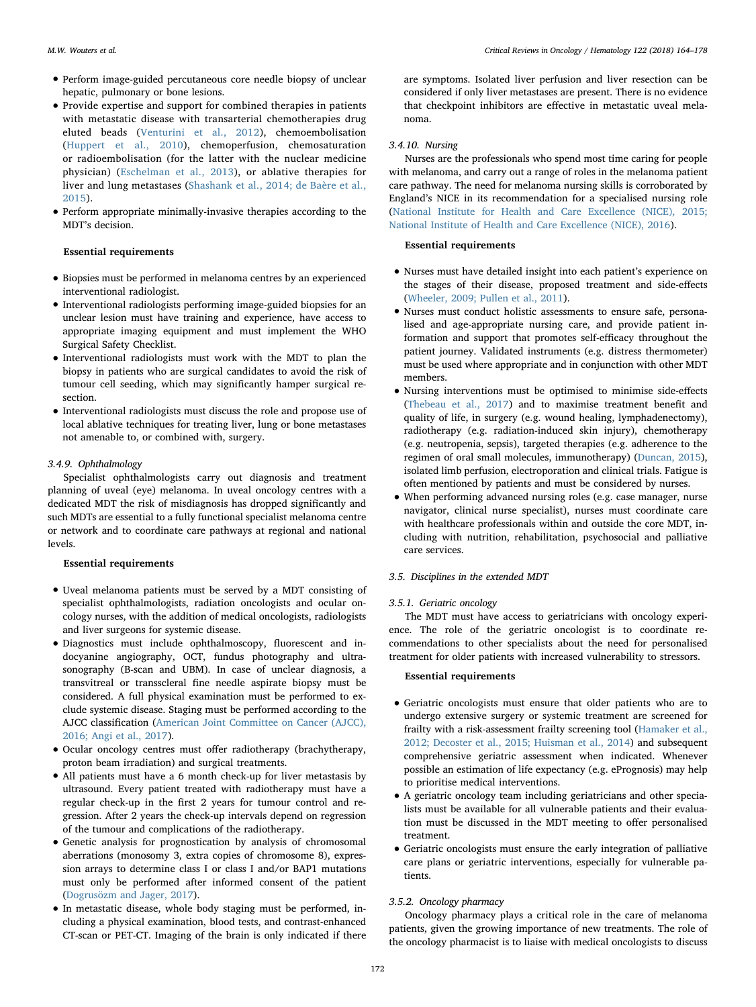- Perform image-guided percutaneous core needle biopsy of unclear hepatic, pulmonary or bone lesions.
- Provide expertise and support for combined therapies in patients with metastatic disease with transarterial chemotherapies drug eluted beads ([Venturini et al., 2012\)](#page-14-18), chemoembolisation ([Huppert et al., 2010\)](#page-13-27), chemoperfusion, chemosaturation or radioembolisation (for the latter with the nuclear medicine physician) ([Eschelman et al., 2013](#page-12-17)), or ablative therapies for liver and lung metastases ([Shashank et al., 2014; de Baère et al.,](#page-14-19) [2015\)](#page-14-19).
- Perform appropriate minimally-invasive therapies according to the MDT's decision.

## Essential requirements

- Biopsies must be performed in melanoma centres by an experienced interventional radiologist.
- Interventional radiologists performing image-guided biopsies for an unclear lesion must have training and experience, have access to appropriate imaging equipment and must implement the WHO Surgical Safety Checklist.
- Interventional radiologists must work with the MDT to plan the biopsy in patients who are surgical candidates to avoid the risk of tumour cell seeding, which may significantly hamper surgical resection.
- Interventional radiologists must discuss the role and propose use of local ablative techniques for treating liver, lung or bone metastases not amenable to, or combined with, surgery.

# 3.4.9. Ophthalmology

Specialist ophthalmologists carry out diagnosis and treatment planning of uveal (eye) melanoma. In uveal oncology centres with a dedicated MDT the risk of misdiagnosis has dropped significantly and such MDTs are essential to a fully functional specialist melanoma centre or network and to coordinate care pathways at regional and national levels.

## Essential requirements

- Uveal melanoma patients must be served by a MDT consisting of specialist ophthalmologists, radiation oncologists and ocular oncology nurses, with the addition of medical oncologists, radiologists and liver surgeons for systemic disease.
- Diagnostics must include ophthalmoscopy, fluorescent and indocyanine angiography, OCT, fundus photography and ultrasonography (B-scan and UBM). In case of unclear diagnosis, a transvitreal or transscleral fine needle aspirate biopsy must be considered. A full physical examination must be performed to exclude systemic disease. Staging must be performed according to the AJCC classification [\(American Joint Committee on Cancer \(AJCC\),](#page-12-18) [2016; Angi et al., 2017](#page-12-18)).
- Ocular oncology centres must offer radiotherapy (brachytherapy, proton beam irradiation) and surgical treatments.
- All patients must have a 6 month check-up for liver metastasis by ultrasound. Every patient treated with radiotherapy must have a regular check-up in the first 2 years for tumour control and regression. After 2 years the check-up intervals depend on regression of the tumour and complications of the radiotherapy.
- Genetic analysis for prognostication by analysis of chromosomal aberrations (monosomy 3, extra copies of chromosome 8), expression arrays to determine class I or class I and/or BAP1 mutations must only be performed after informed consent of the patient [\(Dogrusözm and Jager, 2017](#page-12-19)).
- In metastatic disease, whole body staging must be performed, including a physical examination, blood tests, and contrast-enhanced CT-scan or PET-CT. Imaging of the brain is only indicated if there

are symptoms. Isolated liver perfusion and liver resection can be considered if only liver metastases are present. There is no evidence that checkpoint inhibitors are effective in metastatic uveal melanoma.

#### 3.4.10. Nursing

Nurses are the professionals who spend most time caring for people with melanoma, and carry out a range of roles in the melanoma patient care pathway. The need for melanoma nursing skills is corroborated by England's NICE in its recommendation for a specialised nursing role ([National Institute for Health and Care Excellence \(NICE\), 2015;](#page-14-11) [National Institute of Health and Care Excellence \(NICE\), 2016](#page-14-11)).

## Essential requirements

- Nurses must have detailed insight into each patient's experience on the stages of their disease, proposed treatment and side-effects [\(Wheeler, 2009; Pullen et al., 2011](#page-14-20)).
- Nurses must conduct holistic assessments to ensure safe, personalised and age-appropriate nursing care, and provide patient information and support that promotes self-efficacy throughout the patient journey. Validated instruments (e.g. distress thermometer) must be used where appropriate and in conjunction with other MDT members.
- Nursing interventions must be optimised to minimise side-effects [\(Thebeau et al., 2017\)](#page-14-21) and to maximise treatment benefit and quality of life, in surgery (e.g. wound healing, lymphadenectomy), radiotherapy (e.g. radiation-induced skin injury), chemotherapy (e.g. neutropenia, sepsis), targeted therapies (e.g. adherence to the regimen of oral small molecules, immunotherapy) ([Duncan, 2015](#page-12-20)), isolated limb perfusion, electroporation and clinical trials. Fatigue is often mentioned by patients and must be considered by nurses.
- When performing advanced nursing roles (e.g. case manager, nurse navigator, clinical nurse specialist), nurses must coordinate care with healthcare professionals within and outside the core MDT, including with nutrition, rehabilitation, psychosocial and palliative care services.

## 3.5. Disciplines in the extended MDT

#### 3.5.1. Geriatric oncology

The MDT must have access to geriatricians with oncology experience. The role of the geriatric oncologist is to coordinate recommendations to other specialists about the need for personalised treatment for older patients with increased vulnerability to stressors.

## Essential requirements

- Geriatric oncologists must ensure that older patients who are to undergo extensive surgery or systemic treatment are screened for frailty with a risk-assessment frailty screening tool [\(Hamaker et al.,](#page-13-28) [2012; Decoster et al., 2015; Huisman et al., 2014\)](#page-13-28) and subsequent comprehensive geriatric assessment when indicated. Whenever possible an estimation of life expectancy (e.g. ePrognosis) may help to prioritise medical interventions.
- A geriatric oncology team including geriatricians and other specialists must be available for all vulnerable patients and their evaluation must be discussed in the MDT meeting to offer personalised treatment.
- Geriatric oncologists must ensure the early integration of palliative care plans or geriatric interventions, especially for vulnerable patients.

## 3.5.2. Oncology pharmacy

Oncology pharmacy plays a critical role in the care of melanoma patients, given the growing importance of new treatments. The role of the oncology pharmacist is to liaise with medical oncologists to discuss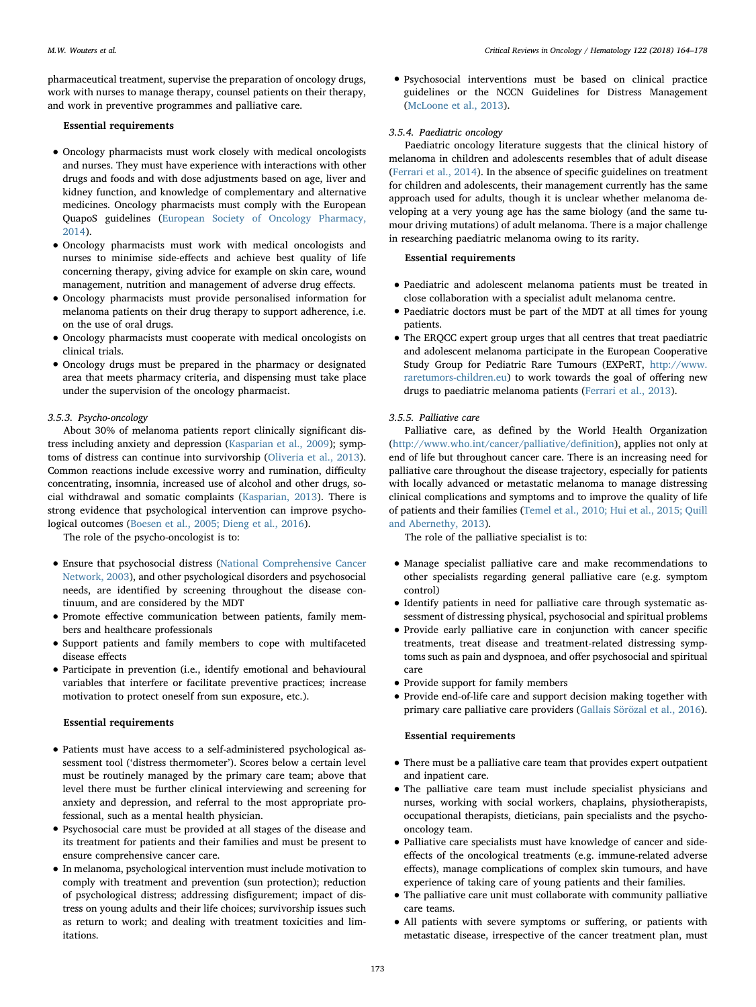pharmaceutical treatment, supervise the preparation of oncology drugs, work with nurses to manage therapy, counsel patients on their therapy, and work in preventive programmes and palliative care.

## Essential requirements

- Oncology pharmacists must work closely with medical oncologists and nurses. They must have experience with interactions with other drugs and foods and with dose adjustments based on age, liver and kidney function, and knowledge of complementary and alternative medicines. Oncology pharmacists must comply with the European QuapoS guidelines ([European Society of Oncology Pharmacy,](#page-12-21) [2014](#page-12-21)).
- Oncology pharmacists must work with medical oncologists and nurses to minimise side-effects and achieve best quality of life concerning therapy, giving advice for example on skin care, wound management, nutrition and management of adverse drug effects.
- Oncology pharmacists must provide personalised information for melanoma patients on their drug therapy to support adherence, i.e. on the use of oral drugs.
- Oncology pharmacists must cooperate with medical oncologists on clinical trials.
- Oncology drugs must be prepared in the pharmacy or designated area that meets pharmacy criteria, and dispensing must take place under the supervision of the oncology pharmacist.

### 3.5.3. Psycho-oncology

About 30% of melanoma patients report clinically significant distress including anxiety and depression ([Kasparian et al., 2009](#page-13-29)); symptoms of distress can continue into survivorship [\(Oliveria et al., 2013](#page-14-22)). Common reactions include excessive worry and rumination, difficulty concentrating, insomnia, increased use of alcohol and other drugs, social withdrawal and somatic complaints [\(Kasparian, 2013](#page-13-30)). There is strong evidence that psychological intervention can improve psychological outcomes ([Boesen et al., 2005; Dieng et al., 2016\)](#page-12-22).

The role of the psycho-oncologist is to:

- Ensure that psychosocial distress ([National Comprehensive Cancer](#page-13-31) [Network, 2003\)](#page-13-31), and other psychological disorders and psychosocial needs, are identified by screening throughout the disease continuum, and are considered by the MDT
- Promote effective communication between patients, family members and healthcare professionals
- Support patients and family members to cope with multifaceted disease effects
- Participate in prevention (i.e., identify emotional and behavioural variables that interfere or facilitate preventive practices; increase motivation to protect oneself from sun exposure, etc.).

## Essential requirements

- Patients must have access to a self-administered psychological assessment tool ('distress thermometer'). Scores below a certain level must be routinely managed by the primary care team; above that level there must be further clinical interviewing and screening for anxiety and depression, and referral to the most appropriate professional, such as a mental health physician.
- Psychosocial care must be provided at all stages of the disease and its treatment for patients and their families and must be present to ensure comprehensive cancer care.
- In melanoma, psychological intervention must include motivation to comply with treatment and prevention (sun protection); reduction of psychological distress; addressing disfigurement; impact of distress on young adults and their life choices; survivorship issues such as return to work; and dealing with treatment toxicities and limitations.

• Psychosocial interventions must be based on clinical practice guidelines or the NCCN Guidelines for Distress Management [\(McLoone et al., 2013\)](#page-13-32).

## 3.5.4. Paediatric oncology

Paediatric oncology literature suggests that the clinical history of melanoma in children and adolescents resembles that of adult disease ([Ferrari et al., 2014\)](#page-13-33). In the absence of specific guidelines on treatment for children and adolescents, their management currently has the same approach used for adults, though it is unclear whether melanoma developing at a very young age has the same biology (and the same tumour driving mutations) of adult melanoma. There is a major challenge in researching paediatric melanoma owing to its rarity.

## Essential requirements

- Paediatric and adolescent melanoma patients must be treated in close collaboration with a specialist adult melanoma centre.
- Paediatric doctors must be part of the MDT at all times for young patients.
- The ERQCC expert group urges that all centres that treat paediatric and adolescent melanoma participate in the European Cooperative Study Group for Pediatric Rare Tumours (EXPeRT, [http://www.](http://www.raretumors-children.eu) [raretumors-children.eu\)](http://www.raretumors-children.eu) to work towards the goal of offering new drugs to paediatric melanoma patients [\(Ferrari et al., 2013\)](#page-13-34).

## 3.5.5. Palliative care

Palliative care, as defined by the World Health Organization ([http://www.who.int/cancer/palliative/de](http://www.who.int/cancer/palliative/definition)finition), applies not only at end of life but throughout cancer care. There is an increasing need for palliative care throughout the disease trajectory, especially for patients with locally advanced or metastatic melanoma to manage distressing clinical complications and symptoms and to improve the quality of life of patients and their families ([Temel et al., 2010; Hui et al., 2015; Quill](#page-14-23) [and Abernethy, 2013\)](#page-14-23).

The role of the palliative specialist is to:

- Manage specialist palliative care and make recommendations to other specialists regarding general palliative care (e.g. symptom control)
- Identify patients in need for palliative care through systematic assessment of distressing physical, psychosocial and spiritual problems
- Provide early palliative care in conjunction with cancer specifi<sup>c</sup> treatments, treat disease and treatment-related distressing symptoms such as pain and dyspnoea, and offer psychosocial and spiritual care
- Provide support for family members
- Provide end-of-life care and support decision making together with primary care palliative care providers [\(Gallais Sörözal et al., 2016](#page-13-35)).

## Essential requirements

- There must be a palliative care team that provides expert outpatient and inpatient care.
- The palliative care team must include specialist physicians and nurses, working with social workers, chaplains, physiotherapists, occupational therapists, dieticians, pain specialists and the psychooncology team.
- Palliative care specialists must have knowledge of cancer and sideeffects of the oncological treatments (e.g. immune-related adverse effects), manage complications of complex skin tumours, and have experience of taking care of young patients and their families.
- The palliative care unit must collaborate with community palliative care teams.
- All patients with severe symptoms or suffering, or patients with metastatic disease, irrespective of the cancer treatment plan, must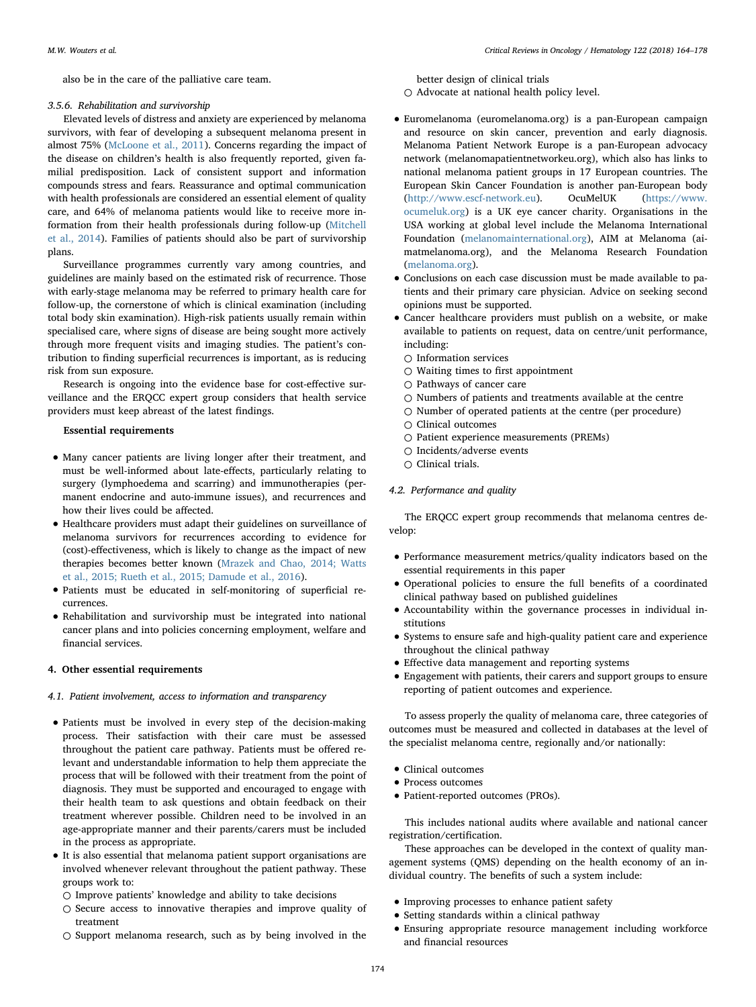also be in the care of the palliative care team.

## 3.5.6. Rehabilitation and survivorship

Elevated levels of distress and anxiety are experienced by melanoma survivors, with fear of developing a subsequent melanoma present in almost 75% [\(McLoone et al., 2011](#page-13-36)). Concerns regarding the impact of the disease on children's health is also frequently reported, given familial predisposition. Lack of consistent support and information compounds stress and fears. Reassurance and optimal communication with health professionals are considered an essential element of quality care, and 64% of melanoma patients would like to receive more information from their health professionals during follow-up ([Mitchell](#page-13-37) [et al., 2014](#page-13-37)). Families of patients should also be part of survivorship plans.

Surveillance programmes currently vary among countries, and guidelines are mainly based on the estimated risk of recurrence. Those with early-stage melanoma may be referred to primary health care for follow-up, the cornerstone of which is clinical examination (including total body skin examination). High-risk patients usually remain within specialised care, where signs of disease are being sought more actively through more frequent visits and imaging studies. The patient's contribution to finding superficial recurrences is important, as is reducing risk from sun exposure.

Research is ongoing into the evidence base for cost-effective surveillance and the ERQCC expert group considers that health service providers must keep abreast of the latest findings.

## Essential requirements

- Many cancer patients are living longer after their treatment, and must be well-informed about late-effects, particularly relating to surgery (lymphoedema and scarring) and immunotherapies (permanent endocrine and auto-immune issues), and recurrences and how their lives could be affected.
- Healthcare providers must adapt their guidelines on surveillance of melanoma survivors for recurrences according to evidence for (cost)-effectiveness, which is likely to change as the impact of new therapies becomes better known [\(Mrazek and Chao, 2014; Watts](#page-13-38) [et al., 2015; Rueth et al., 2015; Damude et al., 2016\)](#page-13-38).
- Patients must be educated in self-monitoring of superficial recurrences.
- Rehabilitation and survivorship must be integrated into national cancer plans and into policies concerning employment, welfare and financial services.

## 4. Other essential requirements

## 4.1. Patient involvement, access to information and transparency

- Patients must be involved in every step of the decision-making process. Their satisfaction with their care must be assessed throughout the patient care pathway. Patients must be offered relevant and understandable information to help them appreciate the process that will be followed with their treatment from the point of diagnosis. They must be supported and encouraged to engage with their health team to ask questions and obtain feedback on their treatment wherever possible. Children need to be involved in an age-appropriate manner and their parents/carers must be included in the process as appropriate.
- It is also essential that melanoma patient support organisations are involved whenever relevant throughout the patient pathway. These groups work to:
	- $\bigcirc$  Improve patients' knowledge and ability to take decisions
	- Secure access to innovative therapies and improve quality of treatment
	- Support melanoma research, such as by being involved in the

better design of clinical trials

- Advocate at national health policy level.
- Euromelanoma (euromelanoma.org) is a pan-European campaign and resource on skin cancer, prevention and early diagnosis. Melanoma Patient Network Europe is a pan-European advocacy network (melanomapatientnetworkeu.org), which also has links to national melanoma patient groups in 17 European countries. The European Skin Cancer Foundation is another pan-European body [\(http://www.escf-network.eu\)](http://www.escf-network.eu). OcuMelUK [\(https://www.](https://www.ocumeluk.org) [ocumeluk.org\)](https://www.ocumeluk.org) is a UK eye cancer charity. Organisations in the USA working at global level include the Melanoma International Foundation [\(melanomainternational.org\)](http://melanomainternational.org), AIM at Melanoma (aimatmelanoma.org), and the Melanoma Research Foundation [\(melanoma.org](http://melanoma.org)).
- Conclusions on each case discussion must be made available to patients and their primary care physician. Advice on seeking second opinions must be supported.
- Cancer healthcare providers must publish on a website, or make available to patients on request, data on centre/unit performance, including:
	- Information services
	- Waiting times to first appointment
	- Pathways of cancer care
	- Numbers of patients and treatments available at the centre
	- Number of operated patients at the centre (per procedure)
	- $\bigcirc$  Clinical outcomes
	- Patient experience measurements (PREMs)
	- Incidents/adverse events
	- $\bigcirc$  Clinical trials.

# 4.2. Performance and quality

The ERQCC expert group recommends that melanoma centres develop:

- Performance measurement metrics/quality indicators based on the essential requirements in this paper
- Operational policies to ensure the full benefits of a coordinated clinical pathway based on published guidelines
- Accountability within the governance processes in individual institutions
- Systems to ensure safe and high-quality patient care and experience throughout the clinical pathway
- <sup>E</sup>ffective data management and reporting systems
- Engagement with patients, their carers and support groups to ensure reporting of patient outcomes and experience.

To assess properly the quality of melanoma care, three categories of outcomes must be measured and collected in databases at the level of the specialist melanoma centre, regionally and/or nationally:

- Clinical outcomes
- Process outcomes
- Patient-reported outcomes (PROs).

This includes national audits where available and national cancer registration/certification.

These approaches can be developed in the context of quality management systems (QMS) depending on the health economy of an individual country. The benefits of such a system include:

- Improving processes to enhance patient safety
- Setting standards within a clinical pathway
- Ensuring appropriate resource management including workforce and financial resources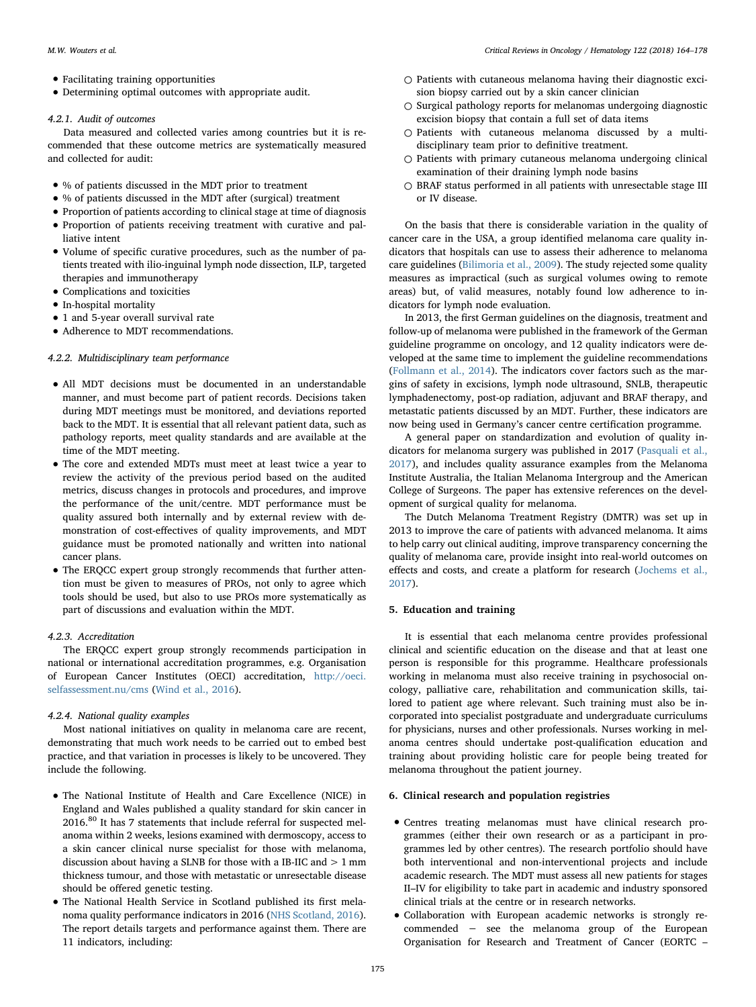- Facilitating training opportunities
- Determining optimal outcomes with appropriate audit.

## 4.2.1. Audit of outcomes

Data measured and collected varies among countries but it is recommended that these outcome metrics are systematically measured and collected for audit:

- % of patients discussed in the MDT prior to treatment
- % of patients discussed in the MDT after (surgical) treatment
- Proportion of patients according to clinical stage at time of diagnosis
- Proportion of patients receiving treatment with curative and palliative intent
- Volume of specific curative procedures, such as the number of patients treated with ilio-inguinal lymph node dissection, ILP, targeted therapies and immunotherapy
- Complications and toxicities
- In-hospital mortality
- 1 and 5-year overall survival rate
- Adherence to MDT recommendations.

## 4.2.2. Multidisciplinary team performance

- All MDT decisions must be documented in an understandable manner, and must become part of patient records. Decisions taken during MDT meetings must be monitored, and deviations reported back to the MDT. It is essential that all relevant patient data, such as pathology reports, meet quality standards and are available at the time of the MDT meeting.
- The core and extended MDTs must meet at least twice a year to review the activity of the previous period based on the audited metrics, discuss changes in protocols and procedures, and improve the performance of the unit/centre. MDT performance must be quality assured both internally and by external review with demonstration of cost-effectives of quality improvements, and MDT guidance must be promoted nationally and written into national cancer plans.
- The ERQCC expert group strongly recommends that further attention must be given to measures of PROs, not only to agree which tools should be used, but also to use PROs more systematically as part of discussions and evaluation within the MDT.

# 4.2.3. Accreditation

The ERQCC expert group strongly recommends participation in national or international accreditation programmes, e.g. Organisation of European Cancer Institutes (OECI) accreditation, [http://oeci.](http://oeci.selfassessment.nu/cms) [selfassessment.nu/cms](http://oeci.selfassessment.nu/cms) ([Wind et al., 2016\)](#page-14-24).

## 4.2.4. National quality examples

Most national initiatives on quality in melanoma care are recent, demonstrating that much work needs to be carried out to embed best practice, and that variation in processes is likely to be uncovered. They include the following.

- The National Institute of Health and Care Excellence (NICE) in England and Wales published a quality standard for skin cancer in 2016.<sup>80</sup> It has 7 statements that include referral for suspected melanoma within 2 weeks, lesions examined with dermoscopy, access to a skin cancer clinical nurse specialist for those with melanoma, discussion about having a SLNB for those with a IB-IIC and > 1 mm thickness tumour, and those with metastatic or unresectable disease should be offered genetic testing.
- The National Health Service in Scotland published its first melanoma quality performance indicators in 2016 [\(NHS Scotland, 2016](#page-14-25)). The report details targets and performance against them. There are 11 indicators, including:
- Patients with cutaneous melanoma having their diagnostic excision biopsy carried out by a skin cancer clinician
- Surgical pathology reports for melanomas undergoing diagnostic excision biopsy that contain a full set of data items
- Patients with cutaneous melanoma discussed by a multidisciplinary team prior to definitive treatment.
- Patients with primary cutaneous melanoma undergoing clinical examination of their draining lymph node basins
- BRAF status performed in all patients with unresectable stage III or IV disease.

On the basis that there is considerable variation in the quality of cancer care in the USA, a group identified melanoma care quality indicators that hospitals can use to assess their adherence to melanoma care guidelines [\(Bilimoria et al., 2009\)](#page-12-23). The study rejected some quality measures as impractical (such as surgical volumes owing to remote areas) but, of valid measures, notably found low adherence to indicators for lymph node evaluation.

In 2013, the first German guidelines on the diagnosis, treatment and follow-up of melanoma were published in the framework of the German guideline programme on oncology, and 12 quality indicators were developed at the same time to implement the guideline recommendations ([Follmann et al., 2014](#page-13-39)). The indicators cover factors such as the margins of safety in excisions, lymph node ultrasound, SNLB, therapeutic lymphadenectomy, post-op radiation, adjuvant and BRAF therapy, and metastatic patients discussed by an MDT. Further, these indicators are now being used in Germany's cancer centre certification programme.

A general paper on standardization and evolution of quality indicators for melanoma surgery was published in 2017 [\(Pasquali et al.,](#page-14-7) [2017\)](#page-14-7), and includes quality assurance examples from the Melanoma Institute Australia, the Italian Melanoma Intergroup and the American College of Surgeons. The paper has extensive references on the development of surgical quality for melanoma.

The Dutch Melanoma Treatment Registry (DMTR) was set up in 2013 to improve the care of patients with advanced melanoma. It aims to help carry out clinical auditing, improve transparency concerning the quality of melanoma care, provide insight into real-world outcomes on effects and costs, and create a platform for research [\(Jochems et al.,](#page-13-40) [2017\)](#page-13-40).

### 5. Education and training

It is essential that each melanoma centre provides professional clinical and scientific education on the disease and that at least one person is responsible for this programme. Healthcare professionals working in melanoma must also receive training in psychosocial oncology, palliative care, rehabilitation and communication skills, tailored to patient age where relevant. Such training must also be incorporated into specialist postgraduate and undergraduate curriculums for physicians, nurses and other professionals. Nurses working in melanoma centres should undertake post-qualification education and training about providing holistic care for people being treated for melanoma throughout the patient journey.

## 6. Clinical research and population registries

- Centres treating melanomas must have clinical research programmes (either their own research or as a participant in programmes led by other centres). The research portfolio should have both interventional and non-interventional projects and include academic research. The MDT must assess all new patients for stages II–IV for eligibility to take part in academic and industry sponsored clinical trials at the centre or in research networks.
- Collaboration with European academic networks is strongly recommended − see the melanoma group of the European Organisation for Research and Treatment of Cancer (EORTC –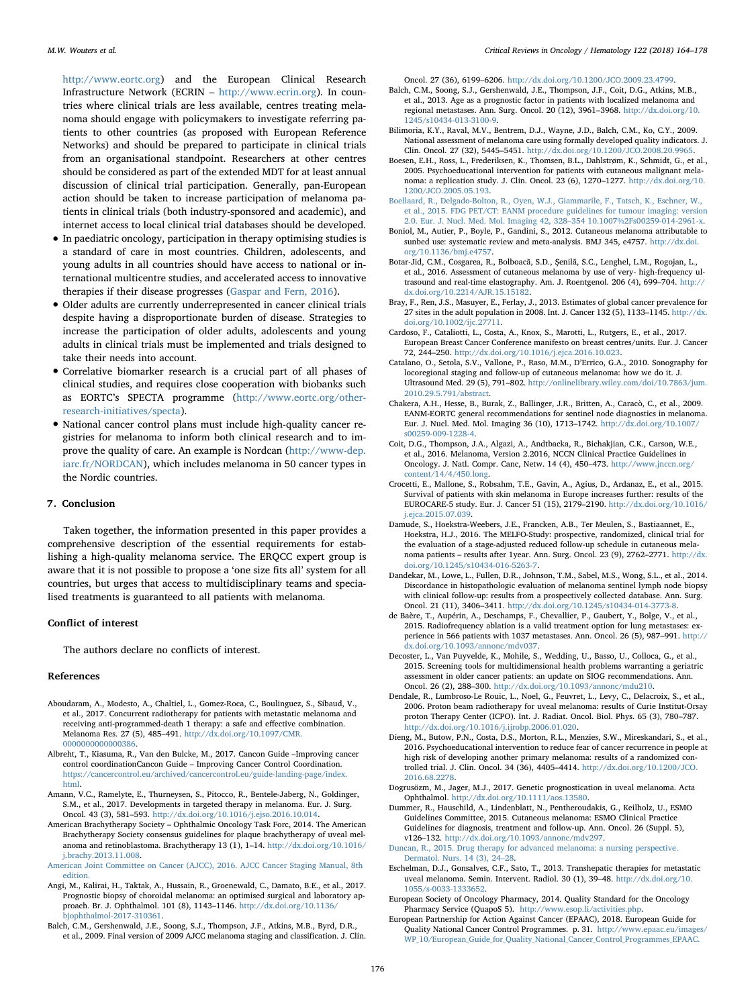<http://www.eortc.org>) and the European Clinical Research Infrastructure Network (ECRIN – [http://www.ecrin.org\)](http://www.ecrin.org). In countries where clinical trials are less available, centres treating melanoma should engage with policymakers to investigate referring patients to other countries (as proposed with European Reference Networks) and should be prepared to participate in clinical trials from an organisational standpoint. Researchers at other centres should be considered as part of the extended MDT for at least annual discussion of clinical trial participation. Generally, pan-European action should be taken to increase participation of melanoma patients in clinical trials (both industry-sponsored and academic), and internet access to local clinical trial databases should be developed.

- In paediatric oncology, participation in therapy optimising studies is a standard of care in most countries. Children, adolescents, and young adults in all countries should have access to national or international multicentre studies, and accelerated access to innovative therapies if their disease progresses [\(Gaspar and Fern, 2016\)](#page-13-41).
- Older adults are currently underrepresented in cancer clinical trials despite having a disproportionate burden of disease. Strategies to increase the participation of older adults, adolescents and young adults in clinical trials must be implemented and trials designed to take their needs into account.
- Correlative biomarker research is a crucial part of all phases of clinical studies, and requires close cooperation with biobanks such as EORTC's SPECTA programme [\(http://www.eortc.org/other](http://www.eortc.org/other-research-initiatives/specta)[research-initiatives/specta](http://www.eortc.org/other-research-initiatives/specta)).
- National cancer control plans must include high-quality cancer registries for melanoma to inform both clinical research and to improve the quality of care. An example is Nordcan ([http://www-dep.](http://www-dep.iarc.fr/NORDCAN) [iarc.fr/NORDCAN\)](http://www-dep.iarc.fr/NORDCAN), which includes melanoma in 50 cancer types in the Nordic countries.

## 7. Conclusion

Taken together, the information presented in this paper provides a comprehensive description of the essential requirements for establishing a high-quality melanoma service. The ERQCC expert group is aware that it is not possible to propose a 'one size fits all' system for all countries, but urges that access to multidisciplinary teams and specialised treatments is guaranteed to all patients with melanoma.

#### Conflict of interest

The authors declare no conflicts of interest.

#### References

- <span id="page-12-16"></span>Aboudaram, A., Modesto, A., Chaltiel, L., Gomez-Roca, C., Boulinguez, S., Sibaud, V., et al., 2017. Concurrent radiotherapy for patients with metastatic melanoma and receiving anti-programmed-death 1 therapy: a safe and effective combination. Melanoma Res. 27 (5), 485–491. [http://dx.doi.org/10.1097/CMR.](http://dx.doi.org/10.1097/CMR.0000000000000386) [0000000000000386.](http://dx.doi.org/10.1097/CMR.0000000000000386)
- <span id="page-12-0"></span>Albreht, T., Kiasuma, R., Van den Bulcke, M., 2017. Cancon Guide –Improving cancer control coordinationCancon Guide – Improving Cancer Control Coordination. [https://cancercontrol.eu/archived/cancercontrol.eu/guide-landing-page/index.](https://cancercontrol.eu/archived/cancercontrol.eu/guide-landing-page/index.html) [html.](https://cancercontrol.eu/archived/cancercontrol.eu/guide-landing-page/index.html)
- <span id="page-12-11"></span>Amann, V.C., Ramelyte, E., Thurneysen, S., Pitocco, R., Bentele-Jaberg, N., Goldinger, S.M., et al., 2017. Developments in targeted therapy in melanoma. Eur. J. Surg. Oncol. 43 (3), 581–593. <http://dx.doi.org/10.1016/j.ejso.2016.10.014>.
- <span id="page-12-15"></span>American Brachytherapy Society – Ophthalmic Oncology Task Forc, 2014. The American Brachytherapy Society consensus guidelines for plaque brachytherapy of uveal melanoma and retinoblastoma. Brachytherapy 13 (1), 1–14. [http://dx.doi.org/10.1016/](http://dx.doi.org/10.1016/j.brachy.2013.11.008) [j.brachy.2013.11.008](http://dx.doi.org/10.1016/j.brachy.2013.11.008).
- <span id="page-12-18"></span>[American Joint Committee on Cancer \(AJCC\), 2016. AJCC Cancer Staging Manual, 8th](http://refhub.elsevier.com/S1040-8428(17)30576-0/sbref0025) edition
- Angi, M., Kalirai, H., Taktak, A., Hussain, R., Groenewald, C., Damato, B.E., et al., 2017. Prognostic biopsy of choroidal melanoma: an optimised surgical and laboratory approach. Br. J. Ophthalmol. 101 (8), 1143–1146. [http://dx.doi.org/10.1136/](http://dx.doi.org/10.1136/bjophthalmol-2017-310361) [bjophthalmol-2017-310361](http://dx.doi.org/10.1136/bjophthalmol-2017-310361).
- <span id="page-12-4"></span>Balch, C.M., Gershenwald, J.E., Soong, S.J., Thompson, J.F., Atkins, M.B., Byrd, D.R., et al., 2009. Final version of 2009 AJCC melanoma staging and classification. J. Clin.

Oncol. 27 (36), 6199–6206. [http://dx.doi.org/10.1200/JCO.2009.23.4799.](http://dx.doi.org/10.1200/JCO.2009.23.4799)

- Balch, C.M., Soong, S.J., Gershenwald, J.E., Thompson, J.F., Coit, D.G., Atkins, M.B., et al., 2013. Age as a prognostic factor in patients with localized melanoma and regional metastases. Ann. Surg. Oncol. 20 (12), 3961–3968. [http://dx.doi.org/10.](http://dx.doi.org/10.1245/s10434-013-3100-9) [1245/s10434-013-3100-9](http://dx.doi.org/10.1245/s10434-013-3100-9).
- <span id="page-12-23"></span>Bilimoria, K.Y., Raval, M.V., Bentrem, D.J., Wayne, J.D., Balch, C.M., Ko, C.Y., 2009. National assessment of melanoma care using formally developed quality indicators. J. Clin. Oncol. 27 (32), 5445–5451. <http://dx.doi.org/10.1200/JCO.2008.20.9965>.
- <span id="page-12-22"></span>Boesen, E.H., Ross, L., Frederiksen, K., Thomsen, B.L., Dahlstrøm, K., Schmidt, G., et al., 2005. Psychoeducational intervention for patients with cutaneous malignant melanoma: a replication study. J. Clin. Oncol. 23 (6), 1270–1277. [http://dx.doi.org/10.](http://dx.doi.org/10.1200/JCO.2005.05.193) [1200/JCO.2005.05.193](http://dx.doi.org/10.1200/JCO.2005.05.193).
- <span id="page-12-10"></span>[Boellaard, R., Delgado-Bolton, R., Oyen, W.J., Giammarile, F., Tatsch, K., Eschner, W.,](http://refhub.elsevier.com/S1040-8428(17)30576-0/sbref0055) [et al., 2015. FDG PET/CT: EANM procedure guidelines for tumour imaging: version](http://refhub.elsevier.com/S1040-8428(17)30576-0/sbref0055) [2.0. Eur. J. Nucl. Med. Mol. Imaging 42, 328](http://refhub.elsevier.com/S1040-8428(17)30576-0/sbref0055)–354 10.1007%2Fs00259-014-2961-x.
- <span id="page-12-3"></span>Boniol, M., Autier, P., Boyle, P., Gandini, S., 2012. Cutaneous melanoma attributable to sunbed use: systematic review and meta-analysis. BMJ 345, e4757. [http://dx.doi.](http://dx.doi.org/10.1136/bmj.e4757) [org/10.1136/bmj.e4757.](http://dx.doi.org/10.1136/bmj.e4757)
- <span id="page-12-8"></span>Botar-Jid, C.M., Cosgarea, R., Bolboacă, S.D., Şenilă, S.C., Lenghel, L.M., Rogojan, L., et al., 2016. Assessment of cutaneous melanoma by use of very- high-frequency ultrasound and real-time elastography. Am. J. Roentgenol. 206 (4), 699–704. [http://](http://dx.doi.org/10.2214/AJR.15.15182) [dx.doi.org/10.2214/AJR.15.15182](http://dx.doi.org/10.2214/AJR.15.15182).
- Bray, F., Ren, J.S., Masuyer, E., Ferlay, J., 2013. Estimates of global cancer prevalence for 27 sites in the adult population in 2008. Int. J. Cancer 132 (5), 1133–1145. [http://dx.](http://dx.doi.org/10.1002/ijc.27711) [doi.org/10.1002/ijc.27711.](http://dx.doi.org/10.1002/ijc.27711)
- <span id="page-12-1"></span>Cardoso, F., Cataliotti, L., Costa, A., Knox, S., Marotti, L., Rutgers, E., et al., 2017. European Breast Cancer Conference manifesto on breast centres/units. Eur. J. Cancer 72, 244–250. [http://dx.doi.org/10.1016/j.ejca.2016.10.023.](http://dx.doi.org/10.1016/j.ejca.2016.10.023)
- <span id="page-12-9"></span>Catalano, O., Setola, S.V., Vallone, P., Raso, M.M., D'Errico, G.A., 2010. Sonography for locoregional staging and follow-up of cutaneous melanoma: how we do it. J. Ultrasound Med. 29 (5), 791–802. [http://onlinelibrary.wiley.com/doi/10.7863/jum.](http://onlinelibrary.wiley.com/doi/10.7863/jum.2010.29.5.791/abstract) [2010.29.5.791/abstract](http://onlinelibrary.wiley.com/doi/10.7863/jum.2010.29.5.791/abstract).
- <span id="page-12-7"></span>Chakera, A.H., Hesse, B., Burak, Z., Ballinger, J.R., Britten, A., Caracò, C., et al., 2009. EANM-EORTC general recommendations for sentinel node diagnostics in melanoma. Eur. J. Nucl. Med. Mol. Imaging 36 (10), 1713–1742. [http://dx.doi.org/10.1007/](http://dx.doi.org/10.1007/s00259-009-1228-4) [s00259-009-1228-4.](http://dx.doi.org/10.1007/s00259-009-1228-4)
- <span id="page-12-13"></span>Coit, D.G., Thompson, J.A., Algazi, A., Andtbacka, R., Bichakjian, C.K., Carson, W.E., et al., 2016. Melanoma, Version 2.2016, NCCN Clinical Practice Guidelines in Oncology. J. Natl. Compr. Canc, Netw. 14 (4), 450–473. [http://www.jnccn.org/](http://www.jnccn.org/content/14/4/450.long) [content/14/4/450.long.](http://www.jnccn.org/content/14/4/450.long)
- <span id="page-12-2"></span>Crocetti, E., Mallone, S., Robsahm, T.E., Gavin, A., Agius, D., Ardanaz, E., et al., 2015. Survival of patients with skin melanoma in Europe increases further: results of the EUROCARE-5 study. Eur. J. Cancer 51 (15), 2179–2190. [http://dx.doi.org/10.1016/](http://dx.doi.org/10.1016/j.ejca.2015.07.039) [j.ejca.2015.07.039](http://dx.doi.org/10.1016/j.ejca.2015.07.039).
- Damude, S., Hoekstra-Weebers, J.E., Francken, A.B., Ter Meulen, S., Bastiaannet, E., Hoekstra, H.J., 2016. The MELFO-Study: prospective, randomized, clinical trial for the evaluation of a stage-adjusted reduced follow-up schedule in cutaneous melanoma patients – results after 1year. Ann. Surg. Oncol. 23 (9), 2762–2771. [http://dx.](http://dx.doi.org/10.1245/s10434-016-5263-7) [doi.org/10.1245/s10434-016-5263-7.](http://dx.doi.org/10.1245/s10434-016-5263-7)
- <span id="page-12-5"></span>Dandekar, M., Lowe, L., Fullen, D.R., Johnson, T.M., Sabel, M.S., Wong, S.L., et al., 2014. Discordance in histopathologic evaluation of melanoma sentinel lymph node biopsy with clinical follow-up: results from a prospectively collected database. Ann. Surg. Oncol. 21 (11), 3406–3411. <http://dx.doi.org/10.1245/s10434-014-3773-8>.
- de Baère, T., Aupérin, A., Deschamps, F., Chevallier, P., Gaubert, Y., Bolge, V., et al., 2015. Radiofrequency ablation is a valid treatment option for lung metastases: experience in 566 patients with 1037 metastases. Ann. Oncol. 26 (5), 987–991. [http://](http://dx.doi.org/10.1093/annonc/mdv037) [dx.doi.org/10.1093/annonc/mdv037.](http://dx.doi.org/10.1093/annonc/mdv037)
- Decoster, L., Van Puyvelde, K., Mohile, S., Wedding, U., Basso, U., Colloca, G., et al., 2015. Screening tools for multidimensional health problems warranting a geriatric assessment in older cancer patients: an update on SIOG recommendations. Ann. Oncol. 26 (2), 288–300. <http://dx.doi.org/10.1093/annonc/mdu210>.
- <span id="page-12-14"></span>Dendale, R., Lumbroso-Le Rouic, L., Noel, G., Feuvret, L., Levy, C., Delacroix, S., et al., 2006. Proton beam radiotherapy for uveal melanoma: results of Curie Institut-Orsay proton Therapy Center (ICPO). Int. J. Radiat. Oncol. Biol. Phys. 65 (3), 780–787. [http://dx.doi.org/10.1016/j.ijrobp.2006.01.020.](http://dx.doi.org/10.1016/j.ijrobp.2006.01.020)
- Dieng, M., Butow, P.N., Costa, D.S., Morton, R.L., Menzies, S.W., Mireskandari, S., et al., 2016. Psychoeducational intervention to reduce fear of cancer recurrence in people at high risk of developing another primary melanoma: results of a randomized controlled trial. J. Clin. Oncol. 34 (36), 4405–4414. [http://dx.doi.org/10.1200/JCO.](http://dx.doi.org/10.1200/JCO.2016.68.2278) [2016.68.2278](http://dx.doi.org/10.1200/JCO.2016.68.2278).
- <span id="page-12-19"></span>Dogrusözm, M., Jager, M.J., 2017. Genetic prognostication in uveal melanoma. Acta Ophthalmol. [http://dx.doi.org/10.1111/aos.13580.](http://dx.doi.org/10.1111/aos.13580)
- <span id="page-12-12"></span>Dummer, R., Hauschild, A., Lindenblatt, N., Pentheroudakis, G., Keilholz, U., ESMO Guidelines Committee, 2015. Cutaneous melanoma: ESMO Clinical Practice Guidelines for diagnosis, treatment and follow-up. Ann. Oncol. 26 (Suppl. 5), v126–132. <http://dx.doi.org/10.1093/annonc/mdv297>.
- <span id="page-12-20"></span>[Duncan, R., 2015. Drug therapy for advanced melanoma: a nursing perspective.](http://refhub.elsevier.com/S1040-8428(17)30576-0/sbref0140) [Dermatol. Nurs. 14 \(3\), 24](http://refhub.elsevier.com/S1040-8428(17)30576-0/sbref0140)–28.
- <span id="page-12-17"></span>Eschelman, D.J., Gonsalves, C.F., Sato, T., 2013. Transhepatic therapies for metastatic uveal melanoma. Semin. Intervent. Radiol. 30 (1), 39–48. [http://dx.doi.org/10.](http://dx.doi.org/10.1055/s-0033-1333652) [1055/s-0033-1333652](http://dx.doi.org/10.1055/s-0033-1333652).
- <span id="page-12-21"></span>European Society of Oncology Pharmacy, 2014. Quality Standard for the Oncology Pharmacy Service (QuapoS 5). <http://www.esop.li/activities.php>.
- <span id="page-12-6"></span>European Partnership for Action Against Cancer (EPAAC), 2018. European Guide for Quality National Cancer Control Programmes. p. 31. [http://www.epaac.eu/images/](http://www.epaac.eu/images/WP_10/European_Guide_for_Quality_National_Cancer_Control_Programmes_EPAAC.pdf) [WP\\_10/European\\_Guide\\_for\\_Quality\\_National\\_Cancer\\_Control\\_Programmes\\_EPAAC.](http://www.epaac.eu/images/WP_10/European_Guide_for_Quality_National_Cancer_Control_Programmes_EPAAC.pdf)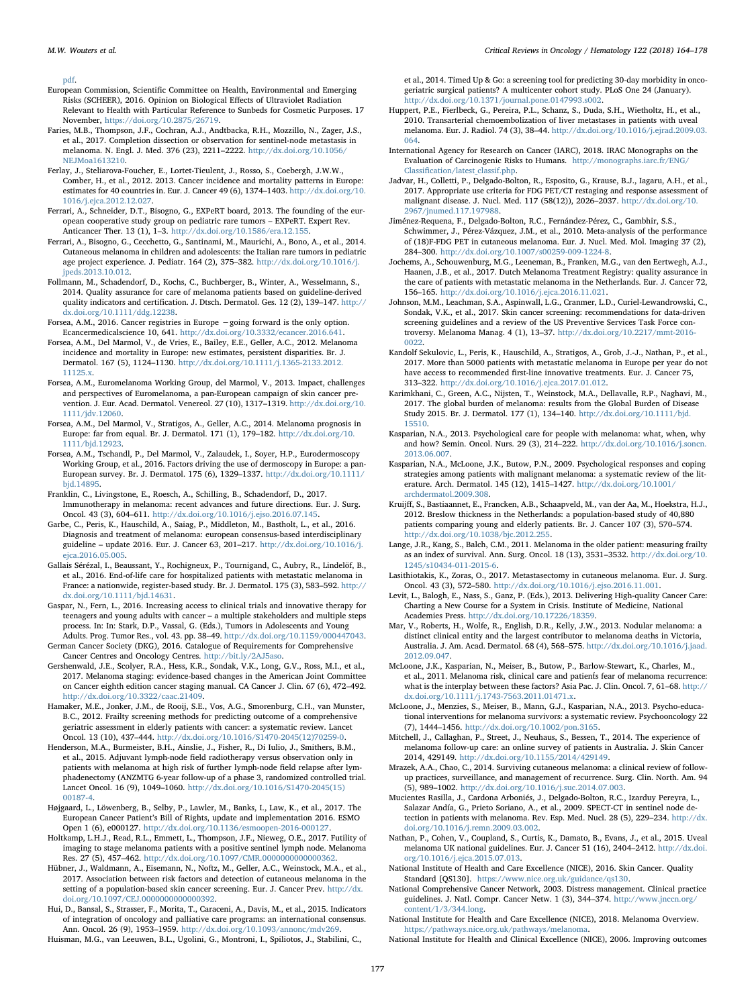#### M.W. Wouters et al. *Critical Reviews in Oncology / Hematology 122 (2018) 164–178*

#### [pdf.](http://www.epaac.eu/images/WP_10/European_Guide_for_Quality_National_Cancer_Control_Programmes_EPAAC.pdf)

- <span id="page-13-10"></span>European Commission, Scientific Committee on Health, Environmental and Emerging Risks (SCHEER), 2016. Opinion on Biological Effects of Ultraviolet Radiation Relevant to Health with Particular Reference to Sunbeds for Cosmetic Purposes. 17 November, <https://doi.org/10.2875/26719>.
- <span id="page-13-7"></span>Faries, M.B., Thompson, J.F., Cochran, A.J., Andtbacka, R.H., Mozzillo, N., Zager, J.S., et al., 2017. Completion dissection or observation for sentinel-node metastasis in melanoma. N. Engl. J. Med. 376 (23), 2211–2222. [http://dx.doi.org/10.1056/](http://dx.doi.org/10.1056/NEJMoa1613210) [NEJMoa1613210](http://dx.doi.org/10.1056/NEJMoa1613210).
- <span id="page-13-2"></span>Ferlay, J., Steliarova-Foucher, E., Lortet-Tieulent, J., Rosso, S., Coebergh, J.W.W., Comber, H., et al., 2012. 2013. Cancer incidence and mortality patterns in Europe: estimates for 40 countries in. Eur. J. Cancer 49 (6), 1374–1403. [http://dx.doi.org/10.](http://dx.doi.org/10.1016/j.ejca.2012.12.027) [1016/j.ejca.2012.12.027.](http://dx.doi.org/10.1016/j.ejca.2012.12.027)
- <span id="page-13-34"></span>Ferrari, A., Schneider, D.T., Bisogno, G., EXPeRT board, 2013. The founding of the european cooperative study group on pediatric rare tumors – EXPeRT. Expert Rev. Anticancer Ther. 13 (1), 1–3. <http://dx.doi.org/10.1586/era.12.155>.
- <span id="page-13-33"></span>Ferrari, A., Bisogno, G., Cecchetto, G., Santinami, M., Maurichi, A., Bono, A., et al., 2014. Cutaneous melanoma in children and adolescents: the Italian rare tumors in pediatric age project experience. J. Pediatr. 164 (2), 375–382. [http://dx.doi.org/10.1016/j.](http://dx.doi.org/10.1016/j.jpeds.2013.10.012) [jpeds.2013.10.012.](http://dx.doi.org/10.1016/j.jpeds.2013.10.012)
- <span id="page-13-39"></span>Follmann, M., Schadendorf, D., Kochs, C., Buchberger, B., Winter, A., Wesselmann, S., 2014. Quality assurance for care of melanoma patients based on guideline-derived quality indicators and certification. J. Dtsch. Dermatol. Ges. 12 (2), 139–147. [http://](http://dx.doi.org/10.1111/ddg.12238) [dx.doi.org/10.1111/ddg.12238](http://dx.doi.org/10.1111/ddg.12238).
- <span id="page-13-16"></span>Forsea, A.M., 2016. Cancer registries in Europe −going forward is the only option. Ecancermedicalscience 10, 641. <http://dx.doi.org/10.3332/ecancer.2016.641>.
- <span id="page-13-4"></span>Forsea, A.M., Del Marmol, V., de Vries, E., Bailey, E.E., Geller, A.C., 2012. Melanoma incidence and mortality in Europe: new estimates, persistent disparities. Br. J. Dermatol. 167 (5), 1124–1130. [http://dx.doi.org/10.1111/j.1365-2133.2012.](http://dx.doi.org/10.1111/j.1365-2133.2012.11125.x) [11125.x.](http://dx.doi.org/10.1111/j.1365-2133.2012.11125.x)
- <span id="page-13-9"></span>Forsea, A.M., Euromelanoma Working Group, del Marmol, V., 2013. Impact, challenges and perspectives of Euromelanoma, a pan-European campaign of skin cancer prevention. J. Eur. Acad. Dermatol. Venereol. 27 (10), 1317–1319. [http://dx.doi.org/10.](http://dx.doi.org/10.1111/jdv.12060) [1111/jdv.12060.](http://dx.doi.org/10.1111/jdv.12060)
- <span id="page-13-5"></span>Forsea, A.M., Del Marmol, V., Stratigos, A., Geller, A.C., 2014. Melanoma prognosis in Europe: far from equal. Br. J. Dermatol. 171 (1), 179–182. [http://dx.doi.org/10.](http://dx.doi.org/10.1111/bjd.12923) [1111/bjd.12923.](http://dx.doi.org/10.1111/bjd.12923)
- <span id="page-13-12"></span>Forsea, A.M., Tschandl, P., Del Marmol, V., Zalaudek, I., Soyer, H.P., Eurodermoscopy Working Group, et al., 2016. Factors driving the use of dermoscopy in Europe: a pan-European survey. Br. J. Dermatol. 175 (6), 1329–1337. [http://dx.doi.org/10.1111/](http://dx.doi.org/10.1111/bjd.14895) [bjd.14895](http://dx.doi.org/10.1111/bjd.14895).
- Franklin, C., Livingstone, E., Roesch, A., Schilling, B., Schadendorf, D., 2017. Immunotherapy in melanoma: recent advances and future directions. Eur. J. Surg. Oncol. 43 (3), 604–611. <http://dx.doi.org/10.1016/j.ejso.2016.07.145>.
- <span id="page-13-21"></span>Garbe, C., Peris, K., Hauschild, A., Saiag, P., Middleton, M., Bastholt, L., et al., 2016. Diagnosis and treatment of melanoma: european consensus-based interdisciplinary guideline – update 2016. Eur. J. Cancer 63, 201–217. [http://dx.doi.org/10.1016/j.](http://dx.doi.org/10.1016/j.ejca.2016.05.005) [ejca.2016.05.005](http://dx.doi.org/10.1016/j.ejca.2016.05.005).
- <span id="page-13-35"></span>Gallais Sérézal, I., Beaussant, Y., Rochigneux, P., Tournigand, C., Aubry, R., Lindelöf, B., et al., 2016. End-of-life care for hospitalized patients with metastatic melanoma in France: a nationwide, register-based study. Br. J. Dermatol. 175 (3), 583–592. [http://](http://dx.doi.org/10.1111/bjd.14631) [dx.doi.org/10.1111/bjd.14631.](http://dx.doi.org/10.1111/bjd.14631)
- <span id="page-13-41"></span>Gaspar, N., Fern, L., 2016. Increasing access to clinical trials and innovative therapy for teenagers and young adults with cancer – a multiple stakeholders and multiple steps process. In: In: Stark, D.P., Vassal, G. (Eds.), Tumors in Adolescents and Young
- <span id="page-13-20"></span>Adults. Prog. Tumor Res., vol. 43. pp. 38–49. [http://dx.doi.org/10.1159/000447043.](http://dx.doi.org/10.1159/000447043) German Cancer Society (DKG), 2016. Catalogue of Requirements for Comprehensive Cancer Centres and Oncology Centres. <http://bit.ly/2AJ5aso>.
- <span id="page-13-6"></span>Gershenwald, J.E., Scolyer, R.A., Hess, K.R., Sondak, V.K., Long, G.V., Ross, M.I., et al., 2017. Melanoma staging: evidence-based changes in the American Joint Committee on Cancer eighth edition cancer staging manual. CA Cancer J. Clin. 67 (6), 472–492. [http://dx.doi.org/10.3322/caac.21409.](http://dx.doi.org/10.3322/caac.21409)
- <span id="page-13-28"></span>Hamaker, M.E., Jonker, J.M., de Rooij, S.E., Vos, A.G., Smorenburg, C.H., van Munster, B.C., 2012. Frailty screening methods for predicting outcome of a comprehensive geriatric assessment in elderly patients with cancer: a systematic review. Lancet Oncol. 13 (10), 437–444. [http://dx.doi.org/10.1016/S1470-2045\(12\)70259-0](http://dx.doi.org/10.1016/S1470-2045(12)70259-0).
- <span id="page-13-26"></span>Henderson, M.A., Burmeister, B.H., Ainslie, J., Fisher, R., Di Iulio, J., Smithers, B.M., et al., 2015. Adjuvant lymph-node field radiotherapy versus observation only in patients with melanoma at high risk of further lymph-node field relapse after lymphadenectomy (ANZMTG 6-year follow-up of a phase 3, randomized controlled trial. Lancet Oncol. 16 (9), 1049–1060. [http://dx.doi.org/10.1016/S1470-2045\(15\)](http://dx.doi.org/10.1016/S1470-2045(15)00187-4) [00187-4](http://dx.doi.org/10.1016/S1470-2045(15)00187-4).
- <span id="page-13-1"></span>Højgaard, L., Löwenberg, B., Selby, P., Lawler, M., Banks, I., Law, K., et al., 2017. The European Cancer Patient's Bill of Rights, update and implementation 2016. ESMO Open 1 (6), e000127. <http://dx.doi.org/10.1136/esmoopen-2016-000127>.
- Holtkamp, L.H.J., Read, R.L., Emmett, L., Thompson, J.F., Nieweg, O.E., 2017. Futility of imaging to stage melanoma patients with a positive sentinel lymph node. Melanoma Res. 27 (5), 457–462. <http://dx.doi.org/10.1097/CMR.0000000000000362>.
- Hübner, J., Waldmann, A., Eisemann, N., Noftz, M., Geller, A.C., Weinstock, M.A., et al., 2017. Association between risk factors and detection of cutaneous melanoma in the setting of a population-based skin cancer screening. Eur. J. Cancer Prev. [http://dx.](http://dx.doi.org/10.1097/CEJ.0000000000000392) [doi.org/10.1097/CEJ.0000000000000392](http://dx.doi.org/10.1097/CEJ.0000000000000392).
- Hui, D., Bansal, S., Strasser, F., Morita, T., Caraceni, A., Davis, M., et al., 2015. Indicators of integration of oncology and palliative care programs: an international consensus. Ann. Oncol. 26 (9), 1953–1959. [http://dx.doi.org/10.1093/annonc/mdv269.](http://dx.doi.org/10.1093/annonc/mdv269)
- Huisman, M.G., van Leeuwen, B.L., Ugolini, G., Montroni, I., Spiliotos, J., Stabilini, C.,

et al., 2014. Timed Up & Go: a screening tool for predicting 30-day morbidity in oncogeriatric surgical patients? A multicenter cohort study. PLoS One 24 (January). <http://dx.doi.org/10.1371/journal.pone.0147993.s002>.

- <span id="page-13-27"></span>Huppert, P.E., Fierlbeck, G., Pereira, P.L., Schanz, S., Duda, S.H., Wietholtz, H., et al., 2010. Transarterial chemoembolization of liver metastases in patients with uveal melanoma. Eur. J. Radiol. 74 (3), 38–44. [http://dx.doi.org/10.1016/j.ejrad.2009.03.](http://dx.doi.org/10.1016/j.ejrad.2009.03.064)
- <span id="page-13-8"></span>[064](http://dx.doi.org/10.1016/j.ejrad.2009.03.064). International Agency for Research on Cancer (IARC), 2018. IRAC Monographs on the Evaluation of Carcinogenic Risks to Humans. [http://monographs.iarc.fr/ENG/](http://monographs.iarc.fr/ENG/Classification/latest_classif.php) Classifi[cation/latest\\_classif.php](http://monographs.iarc.fr/ENG/Classification/latest_classif.php).
- <span id="page-13-22"></span>Jadvar, H., Colletti, P., Delgado-Bolton, R., Esposito, G., Krause, B.J., Iagaru, A.H., et al., 2017. Appropriate use criteria for FDG PET/CT restaging and response assessment of malignant disease. J. Nucl. Med. 117 (58(12)), 2026–2037. [http://dx.doi.org/10.](http://dx.doi.org/10.2967/jnumed.117.197988) [2967/jnumed.117.197988](http://dx.doi.org/10.2967/jnumed.117.197988).
- <span id="page-13-23"></span>Jiménez-Requena, F., Delgado-Bolton, R.C., Fernández-Pérez, C., Gambhir, S.S., Schwimmer, J., Pérez-Vázquez, J.M., et al., 2010. Meta-analysis of the performance of (18)F-FDG PET in cutaneous melanoma. Eur. J. Nucl. Med. Mol. Imaging 37 (2), 284–300. <http://dx.doi.org/10.1007/s00259-009-1224-8>.
- <span id="page-13-40"></span>Jochems, A., Schouwenburg, M.G., Leeneman, B., Franken, M.G., van den Eertwegh, A.J., Haanen, J.B., et al., 2017. Dutch Melanoma Treatment Registry: quality assurance in the care of patients with metastatic melanoma in the Netherlands. Eur. J. Cancer 72, 156–165. [http://dx.doi.org/10.1016/j.ejca.2016.11.021.](http://dx.doi.org/10.1016/j.ejca.2016.11.021)
- Johnson, M.M., Leachman, S.A., Aspinwall, L.G., Cranmer, L.D., Curiel-Lewandrowski, C., Sondak, V.K., et al., 2017. Skin cancer screening: recommendations for data-driven screening guidelines and a review of the US Preventive Services Task Force controversy. Melanoma Manag. 4 (1), 13–37. [http://dx.doi.org/10.2217/mmt-2016-](http://dx.doi.org/10.2217/mmt-2016-0022) [0022.](http://dx.doi.org/10.2217/mmt-2016-0022)
- <span id="page-13-13"></span>Kandolf Sekulovic, L., Peris, K., Hauschild, A., Stratigos, A., Grob, J.-J., Nathan, P., et al., 2017. More than 5000 patients with metastatic melanoma in Europe per year do not have access to recommended first-line innovative treatments. Eur. J. Cancer 75, 313–322. [http://dx.doi.org/10.1016/j.ejca.2017.01.012.](http://dx.doi.org/10.1016/j.ejca.2017.01.012)
- <span id="page-13-3"></span>Karimkhani, C., Green, A.C., Nijsten, T., Weinstock, M.A., Dellavalle, R.P., Naghavi, M., 2017. The global burden of melanoma: results from the Global Burden of Disease Study 2015. Br. J. Dermatol. 177 (1), 134–140. [http://dx.doi.org/10.1111/bjd.](http://dx.doi.org/10.1111/bjd.15510) [15510.](http://dx.doi.org/10.1111/bjd.15510)
- <span id="page-13-30"></span>Kasparian, N.A., 2013. Psychological care for people with melanoma: what, when, why and how? Semin. Oncol. Nurs. 29 (3), 214–222. [http://dx.doi.org/10.1016/j.soncn.](http://dx.doi.org/10.1016/j.soncn.2013.06.007) [2013.06.007](http://dx.doi.org/10.1016/j.soncn.2013.06.007).
- <span id="page-13-29"></span>Kasparian, N.A., McLoone, J.K., Butow, P.N., 2009. Psychological responses and coping strategies among patients with malignant melanoma: a systematic review of the literature. Arch. Dermatol. 145 (12), 1415–1427. [http://dx.doi.org/10.1001/](http://dx.doi.org/10.1001/archdermatol.2009.308) [archdermatol.2009.308.](http://dx.doi.org/10.1001/archdermatol.2009.308)
- <span id="page-13-14"></span>Kruijff, S., Bastiaannet, E., Francken, A.B., Schaapveld, M., van der Aa, M., Hoekstra, H.J., 2012. Breslow thickness in the Netherlands: a population-based study of 40,880 patients comparing young and elderly patients. Br. J. Cancer 107 (3), 570–574. [http://dx.doi.org/10.1038/bjc.2012.255.](http://dx.doi.org/10.1038/bjc.2012.255)
- <span id="page-13-15"></span>Lange, J.R., Kang, S., Balch, C.M., 2011. Melanoma in the older patient: measuring frailty as an index of survival. Ann. Surg. Oncol. 18 (13), 3531–3532. [http://dx.doi.org/10.](http://dx.doi.org/10.1245/s10434-011-2015-6) [1245/s10434-011-2015-6](http://dx.doi.org/10.1245/s10434-011-2015-6).
- <span id="page-13-25"></span>Lasithiotakis, K., Zoras, O., 2017. Metastasectomy in cutaneous melanoma. Eur. J. Surg. Oncol. 43 (3), 572–580. <http://dx.doi.org/10.1016/j.ejso.2016.11.001>.
- <span id="page-13-0"></span>Levit, L., Balogh, E., Nass, S., Ganz, P. (Eds.), 2013. Delivering High-quality Cancer Care: Charting a New Course for a System in Crisis. Institute of Medicine, National Academies Press. [http://dx.doi.org/10.17226/18359.](http://dx.doi.org/10.17226/18359)
- <span id="page-13-11"></span>Mar, V., Roberts, H., Wolfe, R., English, D.R., Kelly, J.W., 2013. Nodular melanoma: a distinct clinical entity and the largest contributor to melanoma deaths in Victoria, Australia. J. Am. Acad. Dermatol. 68 (4), 568–575. [http://dx.doi.org/10.1016/j.jaad.](http://dx.doi.org/10.1016/j.jaad.2012.09.047) [2012.09.047](http://dx.doi.org/10.1016/j.jaad.2012.09.047).
- <span id="page-13-36"></span>McLoone, J.K., Kasparian, N., Meiser, B., Butow, P., Barlow-Stewart, K., Charles, M., et al., 2011. Melanoma risk, clinical care and patients fear of melanoma recurrence: what is the interplay between these factors? Asia Pac. J. Clin. Oncol. 7, 61–68. [http://](http://dx.doi.org/10.1111/j.1743-7563.2011.01471.x) [dx.doi.org/10.1111/j.1743-7563.2011.01471.x](http://dx.doi.org/10.1111/j.1743-7563.2011.01471.x).
- <span id="page-13-32"></span>McLoone, J., Menzies, S., Meiser, B., Mann, G.J., Kasparian, N.A., 2013. Psycho-educational interventions for melanoma survivors: a systematic review. Psychooncology 22 (7), 1444–1456. <http://dx.doi.org/10.1002/pon.3165>.
- <span id="page-13-37"></span>Mitchell, J., Callaghan, P., Street, J., Neuhaus, S., Bessen, T., 2014. The experience of melanoma follow-up care: an online survey of patients in Australia. J. Skin Cancer 2014, 429149. <http://dx.doi.org/10.1155/2014/429149>.
- <span id="page-13-38"></span>Mrazek, A.A., Chao, C., 2014. Surviving cutaneous melanoma: a clinical review of followup practices, surveillance, and management of recurrence. Surg. Clin. North. Am. 94 (5), 989–1002. <http://dx.doi.org/10.1016/j.suc.2014.07.003>.
- <span id="page-13-24"></span>Mucientes Rasilla, J., Cardona Arboniés, J., Delgado-Bolton, R.C., Izarduy Pereyra, L., Salazar Andía, G., Prieto Soriano, A., et al., 2009. SPECT-CT in sentinel node detection in patients with melanoma. Rev. Esp. Med. Nucl. 28 (5), 229–234. [http://dx.](http://dx.doi.org/10.1016/j.remn.2009.03.002) [doi.org/10.1016/j.remn.2009.03.002](http://dx.doi.org/10.1016/j.remn.2009.03.002).
- <span id="page-13-18"></span>Nathan, P., Cohen, V., Coupland, S., Curtis, K., Damato, B., Evans, J., et al., 2015. Uveal melanoma UK national guidelines. Eur. J. Cancer 51 (16), 2404–2412. [http://dx.doi.](http://dx.doi.org/10.1016/j.ejca.2015.07.013) [org/10.1016/j.ejca.2015.07.013.](http://dx.doi.org/10.1016/j.ejca.2015.07.013)
- National Institute of Health and Care Excellence (NICE), 2016. Skin Cancer. Quality Standard [QS130]. <https://www.nice.org.uk/guidance/qs130>.
- <span id="page-13-31"></span>National Comprehensive Cancer Network, 2003. Distress management. Clinical practice guidelines. J. Natl. Compr. Cancer Netw. 1 (3), 344–374. [http://www.jnccn.org/](http://www.jnccn.org/content/1/3/344.long) [content/1/3/344.long](http://www.jnccn.org/content/1/3/344.long).
- <span id="page-13-17"></span>National Institute for Health and Care Excellence (NICE), 2018. Melanoma Overview. <https://pathways.nice.org.uk/pathways/melanoma>.
- <span id="page-13-19"></span>National Institute for Health and Clinical Excellence (NICE), 2006. Improving outcomes